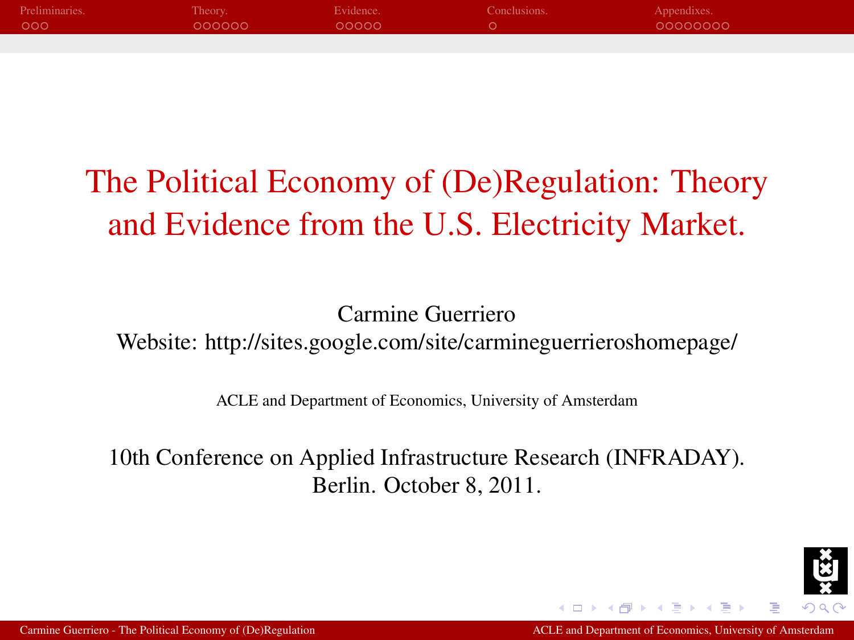| Preliminaries. | Theory. | Evidence. | Conclusions. | Appendixes. |
|----------------|---------|-----------|--------------|-------------|
| 000            | 000000  | 00000     |              | 00000000    |
|                |         |           |              |             |

# The Political Economy of (De)Regulation: Theory and Evidence from the U.S. Electricity Market.

Carmine Guerriero Website: http://sites.google.com/site/carmineguerrieroshomepage/

ACLE and Department of Economics, University of Amsterdam

10th Conference on Applied Infrastructure Research (INFRADAY). Berlin. October 8, 2011.

<span id="page-0-0"></span>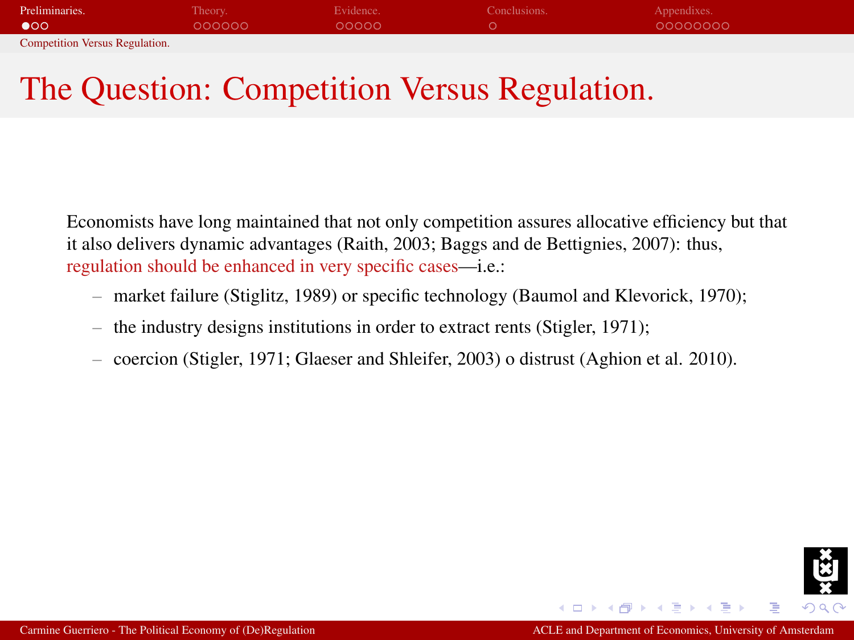| Preliminaries.                        | Theory. | Evidence. | Conclusions. | Appendixes. |
|---------------------------------------|---------|-----------|--------------|-------------|
| $\bullet$ 00                          | 000000  | 00000     |              | 00000000    |
| <b>Competition Versus Regulation.</b> |         |           |              |             |

## The Question: Competition Versus Regulation.

Economists have long maintained that not only competition assures allocative efficiency but that it also delivers dynamic advantages (Raith, 2003; Baggs and de Bettignies, 2007): thus, regulation should be enhanced in very specific cases—i.e.:

- market failure (Stiglitz, 1989) or specific technology (Baumol and Klevorick, 1970);
- the industry designs institutions in order to extract rents (Stigler, 1971);
- coercion (Stigler, 1971; Glaeser and Shleifer, 2003) o distrust (Aghion et al. 2010).

<span id="page-1-0"></span>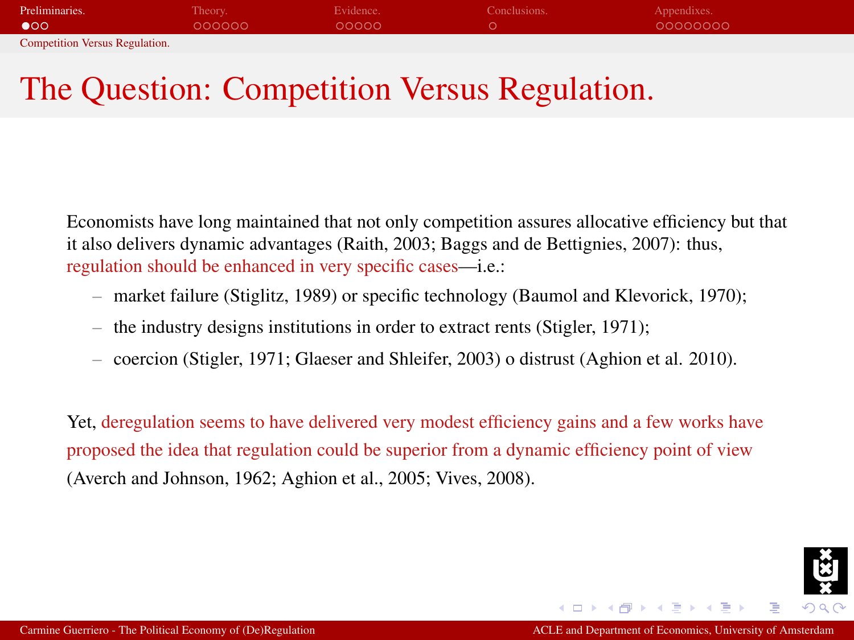| Preliminaries.                        | Theory. | Evidence. | Conclusions. | Appendixes. |
|---------------------------------------|---------|-----------|--------------|-------------|
| $\bullet$ 00                          | 000000  | 00000     |              | 00000000    |
| <b>Competition Versus Regulation.</b> |         |           |              |             |

## The Question: Competition Versus Regulation.

Economists have long maintained that not only competition assures allocative efficiency but that it also delivers dynamic advantages (Raith, 2003; Baggs and de Bettignies, 2007): thus, regulation should be enhanced in very specific cases—i.e.:

- market failure (Stiglitz, 1989) or specific technology (Baumol and Klevorick, 1970);
- the industry designs institutions in order to extract rents (Stigler, 1971);
- coercion (Stigler, 1971; Glaeser and Shleifer, 2003) o distrust (Aghion et al. 2010).

Yet, deregulation seems to have delivered very modest efficiency gains and a few works have proposed the idea that regulation could be superior from a dynamic efficiency point of view (Averch and Johnson, 1962; Aghion et al., 2005; Vives, 2008).

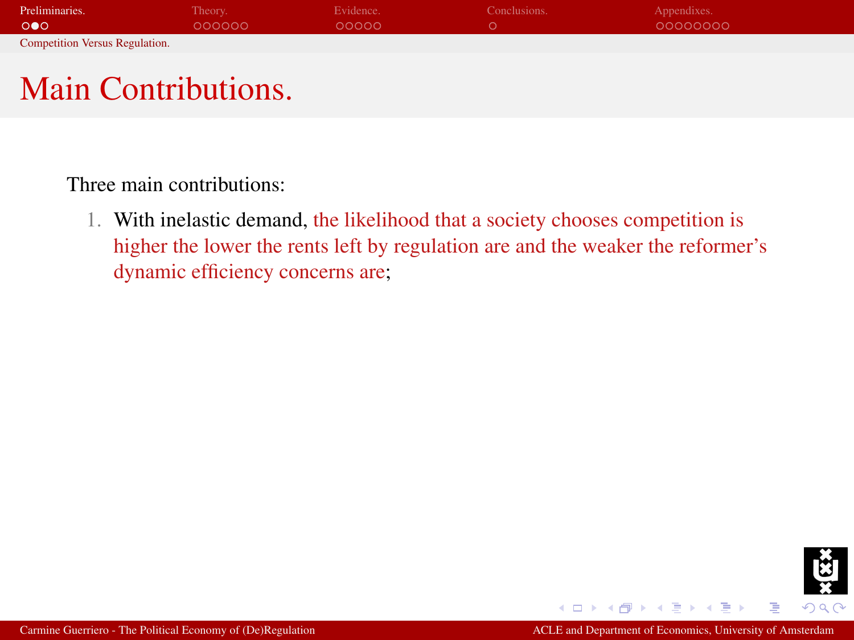| Preliminaries.                        | Theory. | Evidence. | Conclusions. | Appendixes. |
|---------------------------------------|---------|-----------|--------------|-------------|
| $\circ \bullet \circ$                 | 000000  | 00000     |              | 00000000    |
| <b>Competition Versus Regulation.</b> |         |           |              |             |

## Main Contributions.

Three main contributions:

1. With inelastic demand, the likelihood that a society chooses competition is higher the lower the rents left by regulation are and the weaker the reformer's dynamic efficiency concerns are;



 $-17.6$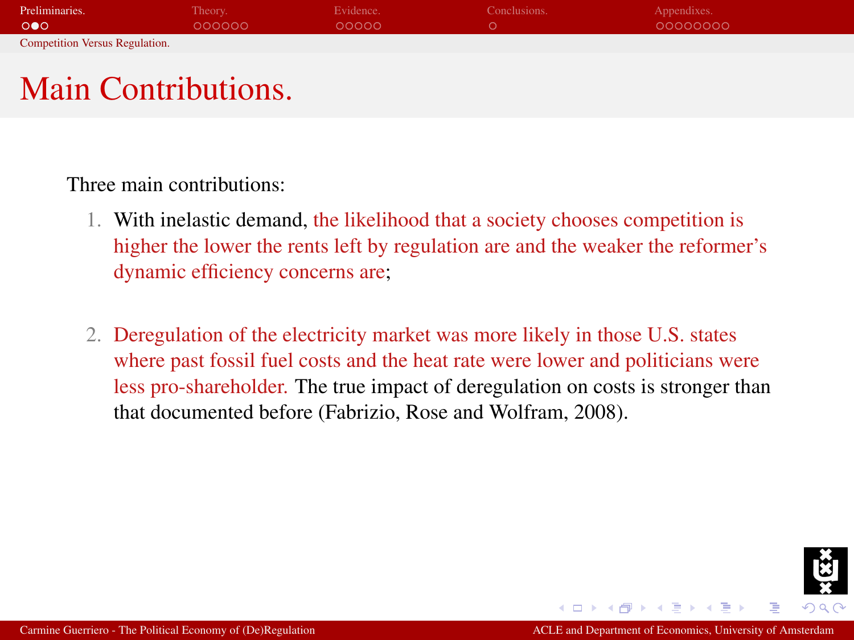| Preliminaries.                        | Theory. | Evidence. | Conclusions. | Appendixes. |
|---------------------------------------|---------|-----------|--------------|-------------|
| $\circ \bullet \circ$                 | 000000  | 00000     |              | 00000000    |
| <b>Competition Versus Regulation.</b> |         |           |              |             |

## Main Contributions.

Three main contributions:

- 1. With inelastic demand, the likelihood that a society chooses competition is higher the lower the rents left by regulation are and the weaker the reformer's dynamic efficiency concerns are;
- 2. Deregulation of the electricity market was more likely in those U.S. states where past fossil fuel costs and the heat rate were lower and politicians were less pro-shareholder. The true impact of deregulation on costs is stronger than that documented before (Fabrizio, Rose and Wolfram, 2008).

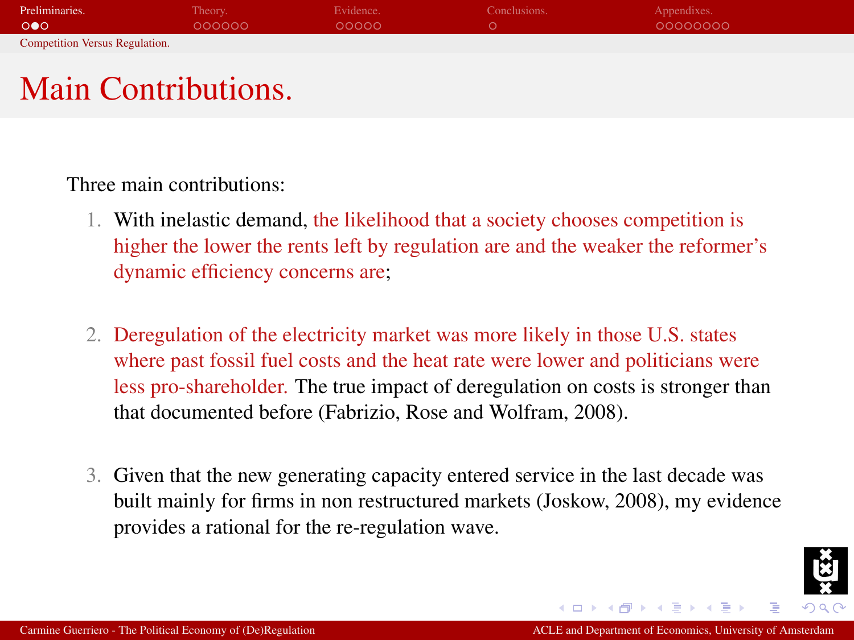| Preliminaries.                        | Theory. | Evidence. | Conclusions. | Appendixes. |
|---------------------------------------|---------|-----------|--------------|-------------|
| $\circ \bullet \circ$                 | 000000  | 00000     |              | 00000000    |
| <b>Competition Versus Regulation.</b> |         |           |              |             |

## Main Contributions.

Three main contributions:

- 1. With inelastic demand, the likelihood that a society chooses competition is higher the lower the rents left by regulation are and the weaker the reformer's dynamic efficiency concerns are;
- 2. Deregulation of the electricity market was more likely in those U.S. states where past fossil fuel costs and the heat rate were lower and politicians were less pro-shareholder. The true impact of deregulation on costs is stronger than that documented before (Fabrizio, Rose and Wolfram, 2008).
- 3. Given that the new generating capacity entered service in the last decade was built mainly for firms in non restructured markets (Joskow, 2008), my evidence provides a rational for the re-regulation wave.

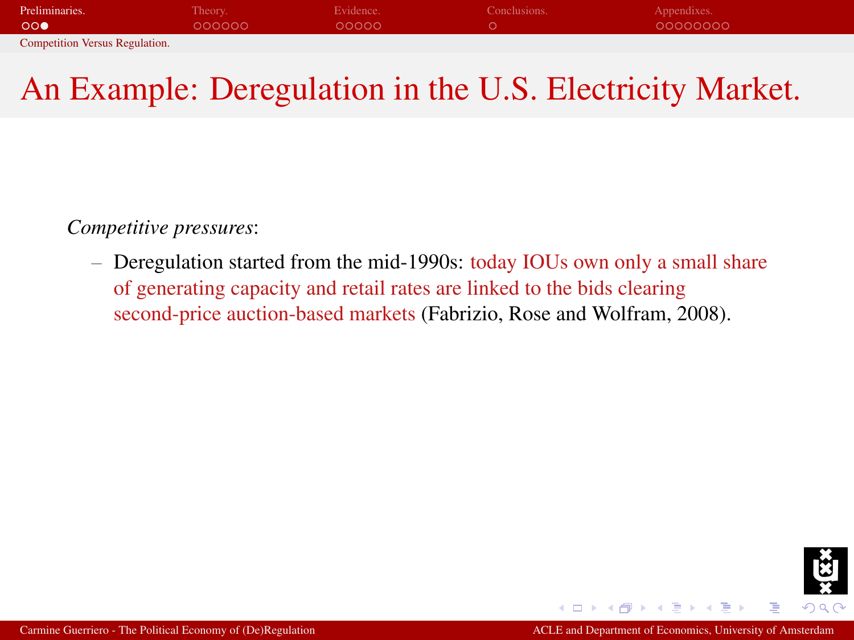| Preliminaries.                        | Theory. | Evidence. | Conclusions. | Appendixes. |
|---------------------------------------|---------|-----------|--------------|-------------|
| 000                                   | LOQQQQ  | loooon i  |              | 00000000    |
| <b>Competition Versus Regulation.</b> |         |           |              |             |

## An Example: Deregulation in the U.S. Electricity Market.

*Competitive pressures*:

– Deregulation started from the mid-1990s: today IOUs own only a small share of generating capacity and retail rates are linked to the bids clearing second-price auction-based markets (Fabrizio, Rose and Wolfram, 2008).

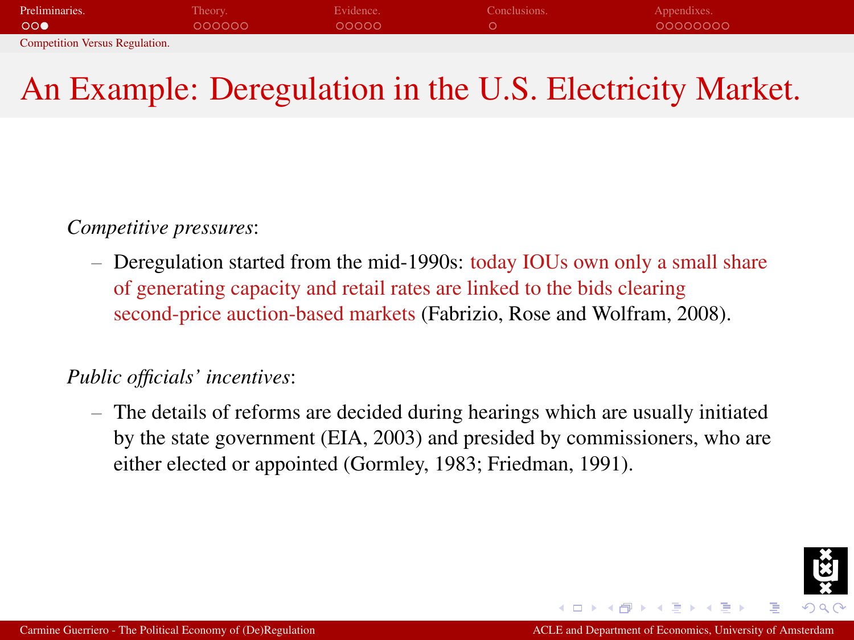| Preliminaries.                        | Theory. | Evidence.      | Conclusions. | Appendixes. |
|---------------------------------------|---------|----------------|--------------|-------------|
| OO <sup>o</sup>                       | 000000  | $00000 \times$ |              | 00000000    |
| <b>Competition Versus Regulation.</b> |         |                |              |             |

## An Example: Deregulation in the U.S. Electricity Market.

*Competitive pressures*:

– Deregulation started from the mid-1990s: today IOUs own only a small share of generating capacity and retail rates are linked to the bids clearing second-price auction-based markets (Fabrizio, Rose and Wolfram, 2008).

#### *Public officials' incentives*:

– The details of reforms are decided during hearings which are usually initiated by the state government (EIA, 2003) and presided by commissioners, who are either elected or appointed (Gormley, 1983; Friedman, 1991).

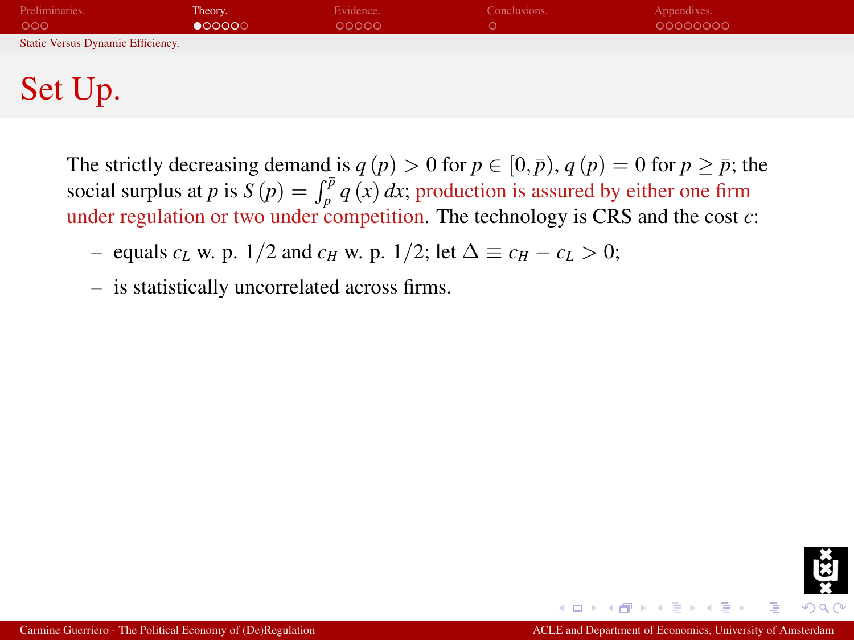| Preliminaries.<br>000             | Theory.<br>$\bullet$ 00000 | Evidence.<br>00000 | Conclusions. | Appendixes.<br>00000000 |
|-----------------------------------|----------------------------|--------------------|--------------|-------------------------|
| Static Versus Dynamic Efficiency. |                            |                    |              |                         |
|                                   |                            |                    |              |                         |
| Set Up.                           |                            |                    |              |                         |

The strictly decreasing demand is  $q(p) > 0$  for  $p \in [0, \bar{p})$ ,  $q(p) = 0$  for  $p \geq \bar{p}$ ; the social surplus at *p* is  $S(p) = \int_{p}^{\bar{p}} q(x) dx$ ; production is assured by either one firm under regulation or two under competition. The technology is CRS and the cost *c*:

– equals  $c_L$  w. p. 1/2 and  $c_H$  w. p. 1/2; let  $\Delta \equiv c_H - c_L > 0$ ;

– is statistically uncorrelated across firms.

<span id="page-8-0"></span>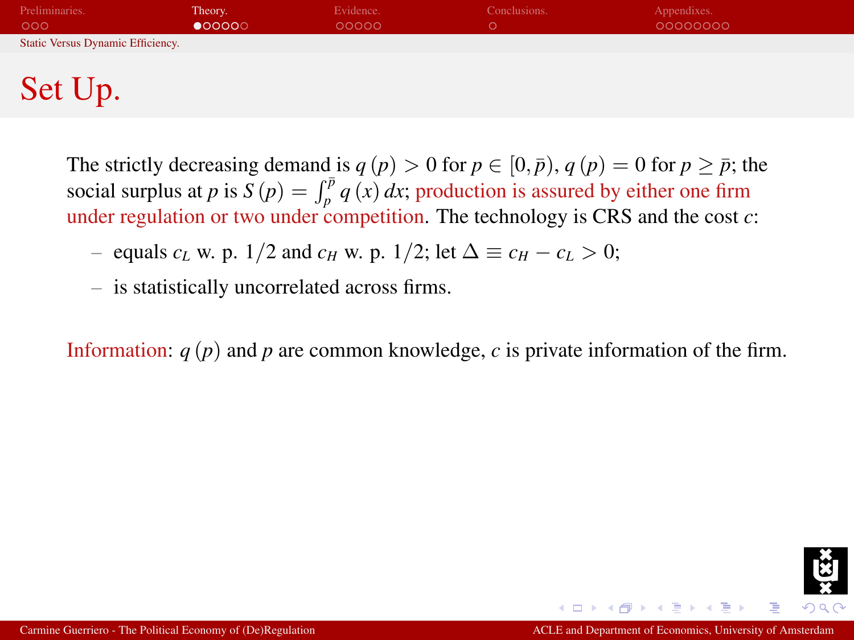| Preliminaries.<br>000             | Theory.<br>$\bullet$ 00000 | Evidence.<br>00000 | Conclusions. | Appendixes.<br>00000000 |
|-----------------------------------|----------------------------|--------------------|--------------|-------------------------|
| Static Versus Dynamic Efficiency. |                            |                    |              |                         |
|                                   |                            |                    |              |                         |
| Set Up.                           |                            |                    |              |                         |

The strictly decreasing demand is  $q(p) > 0$  for  $p \in [0, \bar{p})$ ,  $q(p) = 0$  for  $p > \bar{p}$ ; the social surplus at *p* is  $S(p) = \int_{p}^{\bar{p}} q(x) dx$ ; production is assured by either one firm under regulation or two under competition. The technology is CRS and the cost *c*:

– equals  $c_L$  w. p. 1/2 and  $c_H$  w. p. 1/2; let  $\Delta \equiv c_H - c_L > 0$ ;

– is statistically uncorrelated across firms.

Information: *q* (*p*) and *p* are common knowledge, *c* is private information of the firm.

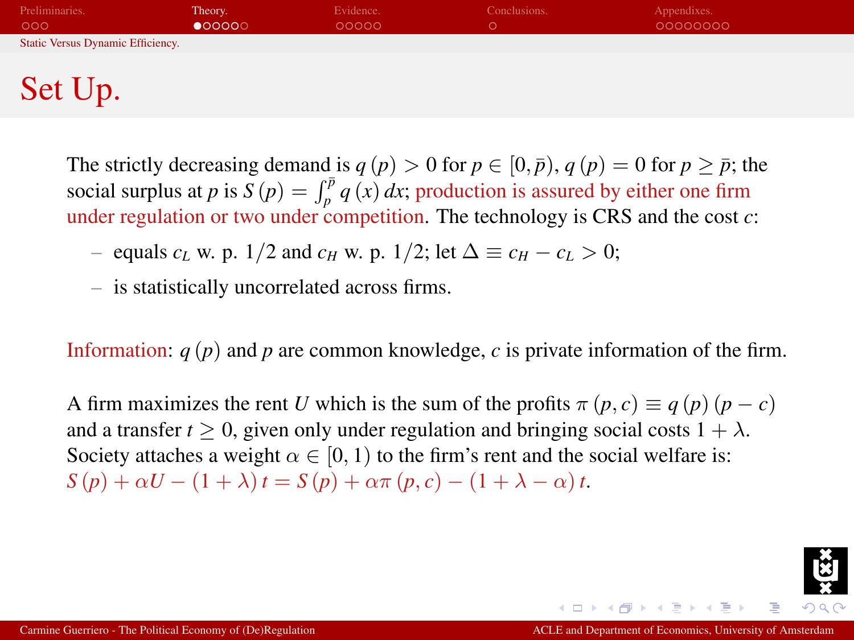| Preliminaries.<br>000             | Theory.<br>$\bullet$ 00000 | Evidence.<br>00000 | Conclusions. | Appendixes.<br>00000000 |
|-----------------------------------|----------------------------|--------------------|--------------|-------------------------|
| Static Versus Dynamic Efficiency. |                            |                    |              |                         |
|                                   |                            |                    |              |                         |
| Set Up.                           |                            |                    |              |                         |

The strictly decreasing demand is  $q(p) > 0$  for  $p \in [0, \bar{p})$ ,  $q(p) = 0$  for  $p > \bar{p}$ ; the social surplus at *p* is  $S(p) = \int_{p}^{\bar{p}} q(x) dx$ ; production is assured by either one firm under regulation or two under competition. The technology is CRS and the cost *c*:

– equals  $c_L$  w. p. 1/2 and  $c_H$  w. p. 1/2; let  $\Delta \equiv c_H - c_L > 0$ ;

– is statistically uncorrelated across firms.

Information: *q* (*p*) and *p* are common knowledge, *c* is private information of the firm.

A firm maximizes the rent *U* which is the sum of the profits  $\pi(p, c) \equiv q(p)(p - c)$ and a transfer  $t \geq 0$ , given only under regulation and bringing social costs  $1 + \lambda$ . Society attaches a weight  $\alpha \in [0, 1)$  to the firm's rent and the social welfare is:  $S(p) + \alpha U - (1 + \lambda)t = S(p) + \alpha \pi (p, c) - (1 + \lambda - \alpha)t$ .

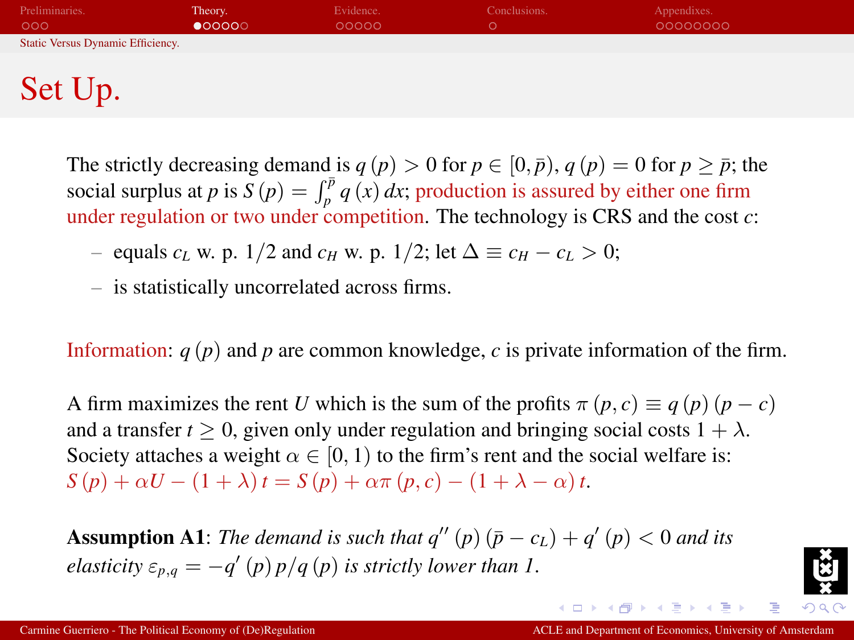| Preliminaries.<br>000             | Theory.<br>$\bullet$ 00000 | Evidence.<br>00000 | Conclusions. | Appendixes.<br>00000000 |  |
|-----------------------------------|----------------------------|--------------------|--------------|-------------------------|--|
| Static Versus Dynamic Efficiency. |                            |                    |              |                         |  |
|                                   |                            |                    |              |                         |  |
| Set Up.                           |                            |                    |              |                         |  |

The strictly decreasing demand is  $q(p) > 0$  for  $p \in [0, \bar{p})$ ,  $q(p) = 0$  for  $p > \bar{p}$ ; the social surplus at *p* is  $S(p) = \int_{p}^{\bar{p}} q(x) dx$ ; production is assured by either one firm under regulation or two under competition. The technology is CRS and the cost *c*:

– equals  $c_L$  w. p. 1/2 and  $c_H$  w. p. 1/2; let  $\Delta \equiv c_H - c_L > 0$ ;

– is statistically uncorrelated across firms.

Information: *q* (*p*) and *p* are common knowledge, *c* is private information of the firm.

A firm maximizes the rent *U* which is the sum of the profits  $\pi(p, c) \equiv q(p)(p - c)$ and a transfer  $t \geq 0$ , given only under regulation and bringing social costs  $1 + \lambda$ . Society attaches a weight  $\alpha \in [0, 1)$  to the firm's rent and the social welfare is:  $S(p) + \alpha U - (1 + \lambda)t = S(p) + \alpha \pi (p, c) - (1 + \lambda - \alpha)t$ .

**Assumption A1**: The demand is such that  $q''(p)(\bar{p} - c_L) + q'(p) < 0$  and its *elasticity*  $\varepsilon_{p,q} = -q'(p)p/q(p)$  *is strictly lower than 1*.



Ξ

(ロトスタトスラトスラト)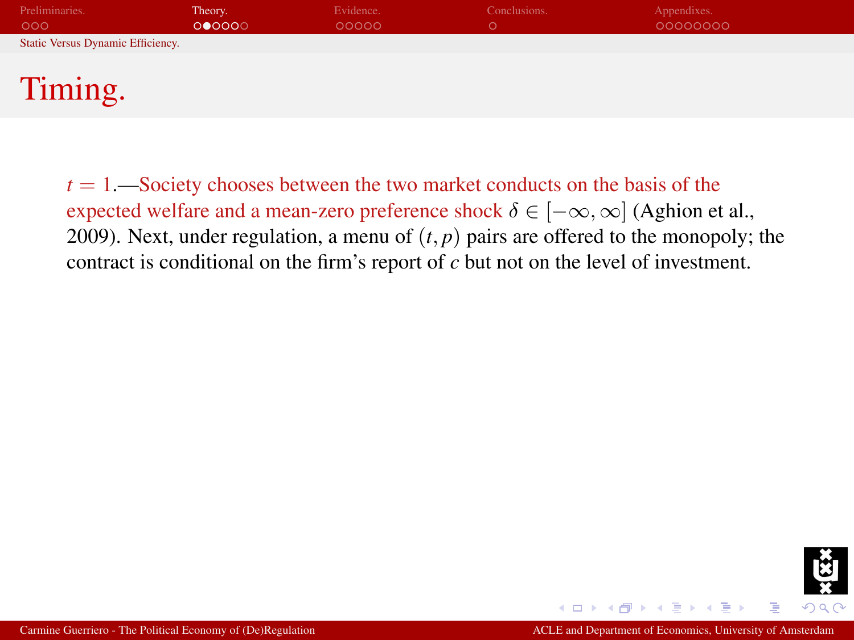| Preliminaries.                    | Theory. | Evidence. | Conclusions. | Appendixes. |
|-----------------------------------|---------|-----------|--------------|-------------|
| 000                               | 000000  | 00000     | O            | 00000000    |
| Static Versus Dynamic Efficiency. |         |           |              |             |
|                                   |         |           |              |             |
| Timing.                           |         |           |              |             |

 $t = 1$ —Society chooses between the two market conducts on the basis of the expected welfare and a mean-zero preference shock  $\delta \in [-\infty, \infty]$  (Aghion et al., 2009). Next, under regulation, a menu of  $(t, p)$  pairs are offered to the monopoly; the contract is conditional on the firm's report of *c* but not on the level of investment.

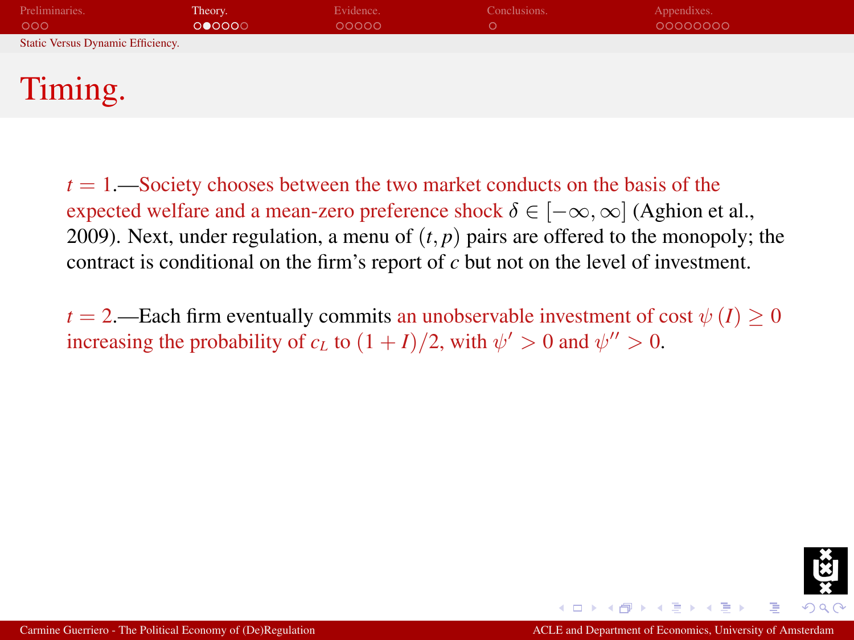| Preliminaries.                    | Theory. | Evidence. | Conclusions. | Appendixes. |
|-----------------------------------|---------|-----------|--------------|-------------|
| 000                               | 000000  | 00000     |              | 00000000    |
| Static Versus Dynamic Efficiency. |         |           |              |             |
|                                   |         |           |              |             |
| Timing.                           |         |           |              |             |

 $t = 1$ —Society chooses between the two market conducts on the basis of the expected welfare and a mean-zero preference shock  $\delta \in [-\infty, \infty]$  (Aghion et al., 2009). Next, under regulation, a menu of  $(t, p)$  pairs are offered to the monopoly; the contract is conditional on the firm's report of *c* but not on the level of investment.

*t* = 2.—Each firm eventually commits an unobservable investment of cost  $\psi(I) \geq 0$ increasing the probability of  $c_L$  to  $(1 + I)/2$ , with  $\psi' > 0$  and  $\psi'' > 0$ .

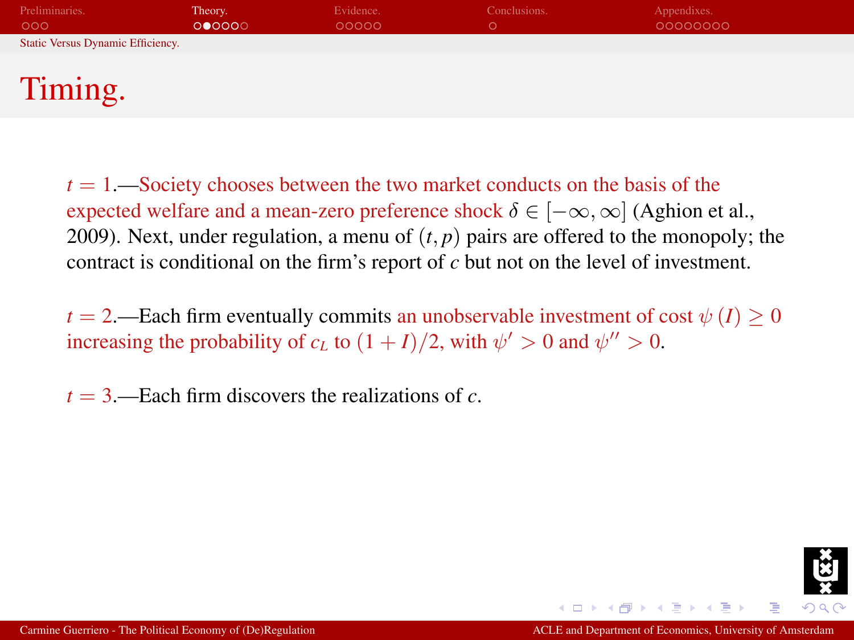| Preliminaries.                                 | Theory. | Evidence. | Conclusions. | Appendixes. |  |
|------------------------------------------------|---------|-----------|--------------|-------------|--|
| 000                                            | 000000  | 00000     |              | 00000000    |  |
| Static Versus Dynamic Efficiency.              |         |           |              |             |  |
|                                                |         |           |              |             |  |
| <b>The Contract Contract Contract Contract</b> |         |           |              |             |  |

## Timing.

 $t = 1$ —Society chooses between the two market conducts on the basis of the expected welfare and a mean-zero preference shock  $\delta \in [-\infty, \infty]$  (Aghion et al., 2009). Next, under regulation, a menu of  $(t, p)$  pairs are offered to the monopoly; the contract is conditional on the firm's report of *c* but not on the level of investment.

*t* = 2.—Each firm eventually commits an unobservable investment of cost  $\psi(I) \geq 0$ increasing the probability of  $c_L$  to  $(1 + I)/2$ , with  $\psi' > 0$  and  $\psi'' > 0$ .

 $t = 3$ —Each firm discovers the realizations of  $c$ .

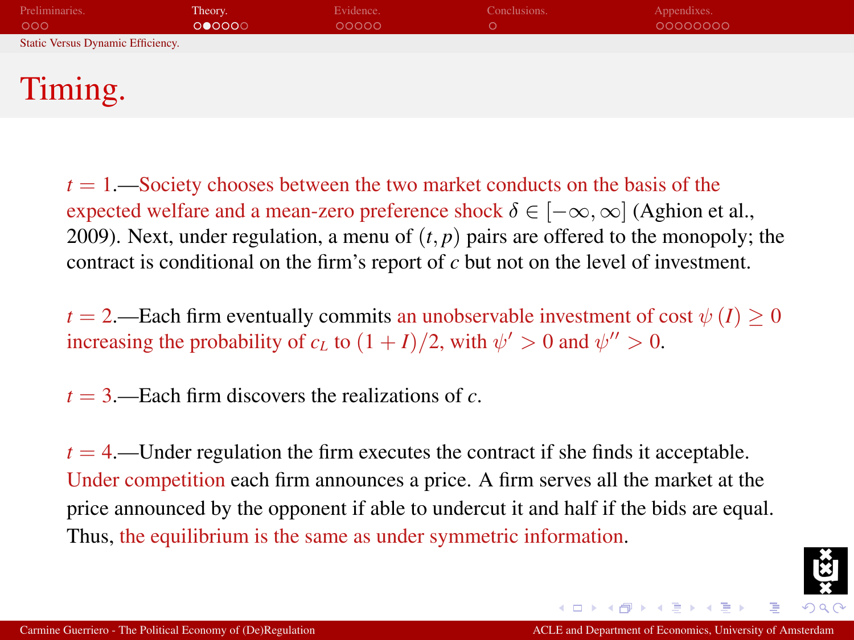| Preliminaries.<br>000             | Theory.<br>000000 | Evidence.<br>00000 | Conclusions.<br>O. | Appendixes.<br>00000000 |  |
|-----------------------------------|-------------------|--------------------|--------------------|-------------------------|--|
| Static Versus Dynamic Efficiency. |                   |                    |                    |                         |  |
|                                   |                   |                    |                    |                         |  |
| Timing.                           |                   |                    |                    |                         |  |

 $t = 1$ —Society chooses between the two market conducts on the basis of the expected welfare and a mean-zero preference shock  $\delta \in [-\infty, \infty]$  (Aghion et al., 2009). Next, under regulation, a menu of  $(t, p)$  pairs are offered to the monopoly; the contract is conditional on the firm's report of *c* but not on the level of investment.

 $t = 2$ .—Each firm eventually commits an unobservable investment of cost  $\psi(I) \geq 0$ increasing the probability of  $c_L$  to  $(1 + I)/2$ , with  $\psi' > 0$  and  $\psi'' > 0$ .

 $t = 3$ —Each firm discovers the realizations of *c*.

 $t = 4$ .—Under regulation the firm executes the contract if she finds it acceptable. Under competition each firm announces a price. A firm serves all the market at the price announced by the opponent if able to undercut it and half if the bids are equal. Thus, the equilibrium is the same as under symmetric information.

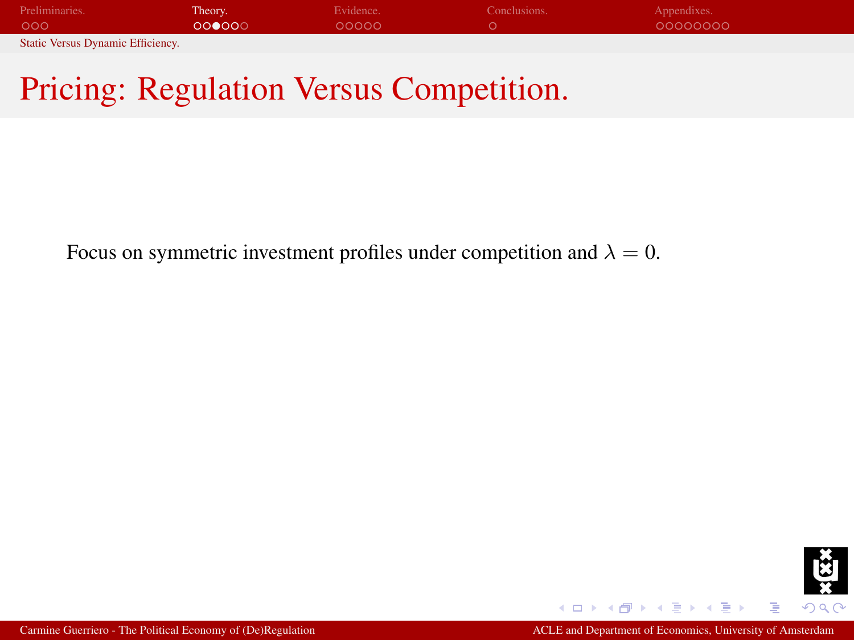| Preliminaries.                    | Theory. | Evidence. | Conclusions. | Appendixes. |
|-----------------------------------|---------|-----------|--------------|-------------|
| 000                               | 000000  | 00000     |              | 00000000    |
| Static Versus Dynamic Efficiency. |         |           |              |             |

## Pricing: Regulation Versus Competition.

Focus on symmetric investment profiles under competition and  $\lambda = 0$ .

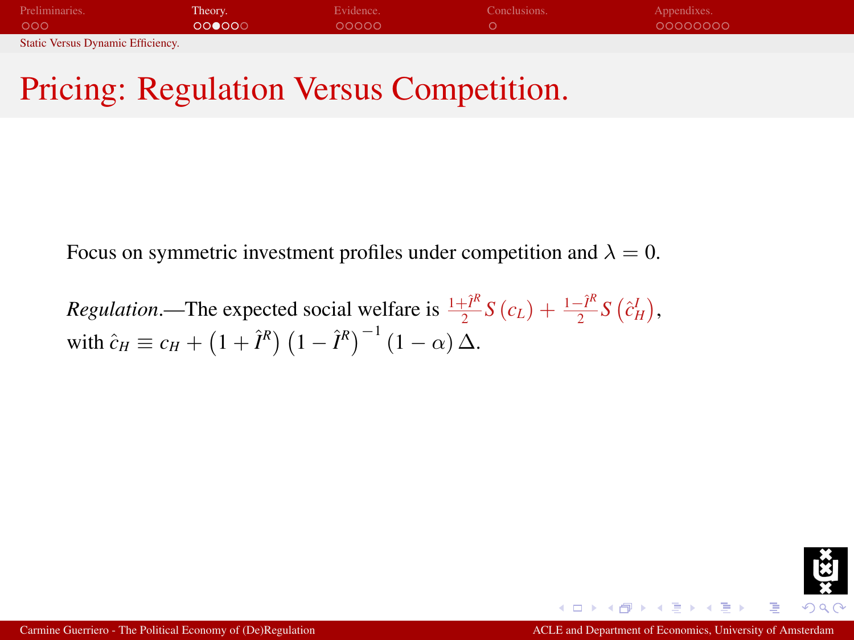| Preliminaries.                    | Theory. | Evidence. | Conclusions. | Appendixes. |
|-----------------------------------|---------|-----------|--------------|-------------|
| 000                               | 000000  | 00000     |              | 00000000    |
| Static Versus Dynamic Efficiency. |         |           |              |             |

## Pricing: Regulation Versus Competition.

Focus on symmetric investment profiles under competition and  $\lambda = 0$ .

*Regulation*.—The expected social welfare is  $\frac{1+i^2}{2}$  $\frac{\partial^2 F}{\partial x^2} S(c_L) + \frac{1-\hat{I}^R}{2}$  $\frac{-I^{\prime\prime}}{2}S\left(\hat{c}_{H}^{I}\right),$ with  $\hat{c}_H \equiv c_H + (1 + \hat{I}^R) (1 - \hat{I}^R)^{-1} (1 - \alpha) \Delta$ .

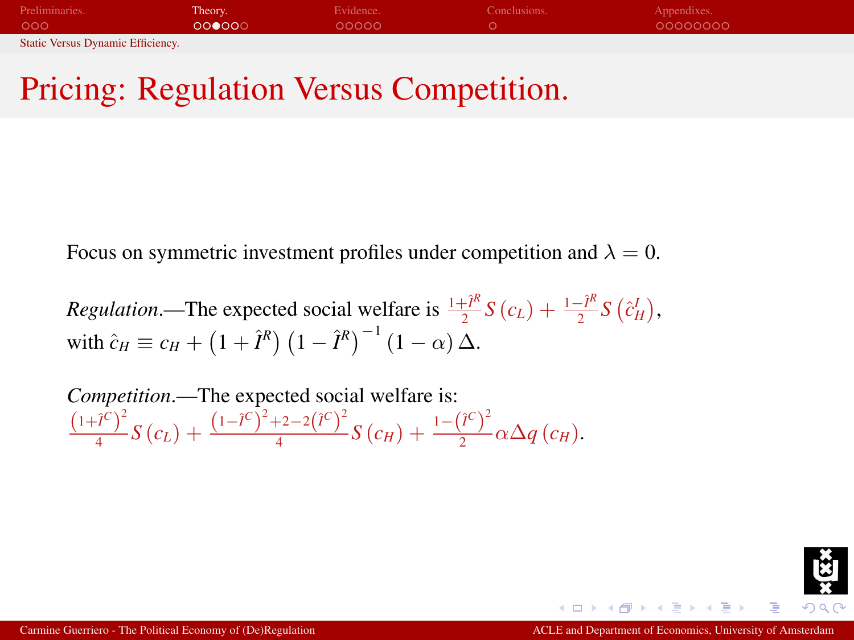| Preliminaries.                    | Theory. | Evidence. | Conclusions. | Appendixes. |
|-----------------------------------|---------|-----------|--------------|-------------|
| 000                               | 000000  | 00000     |              | 00000000    |
| Static Versus Dynamic Efficiency. |         |           |              |             |

## Pricing: Regulation Versus Competition.

Focus on symmetric investment profiles under competition and  $\lambda = 0$ .

*Regulation*.—The expected social welfare is  $\frac{1+i^2}{2}$  $\frac{\partial^2 F}{\partial x^2} S(c_L) + \frac{1-\hat{I}^R}{2}$  $\frac{-I^{\prime\prime}}{2}S\left(\hat{c}_{H}^{I}\right),$ with  $\hat{c}_H \equiv c_H + (1 + \hat{I}^R) (1 - \hat{I}^R)^{-1} (1 - \alpha) \Delta$ .

*Competition*.—The expected social welfare is:  $(1 + \hat{I}^C)^2$  $\frac{(i^{C})^2}{4}S(c_L) + \frac{(1-i^{C})^2+2-2(i^{C})^2}{4}$  $\frac{(-1)^{2}-2(i^{C})^{2}}{4}S(c_{H})+\frac{1-(i^{C})^{2}}{2}$  $\frac{1}{2}$ <sup> $\alpha \Delta q$ </sup> $(c_H)$ .

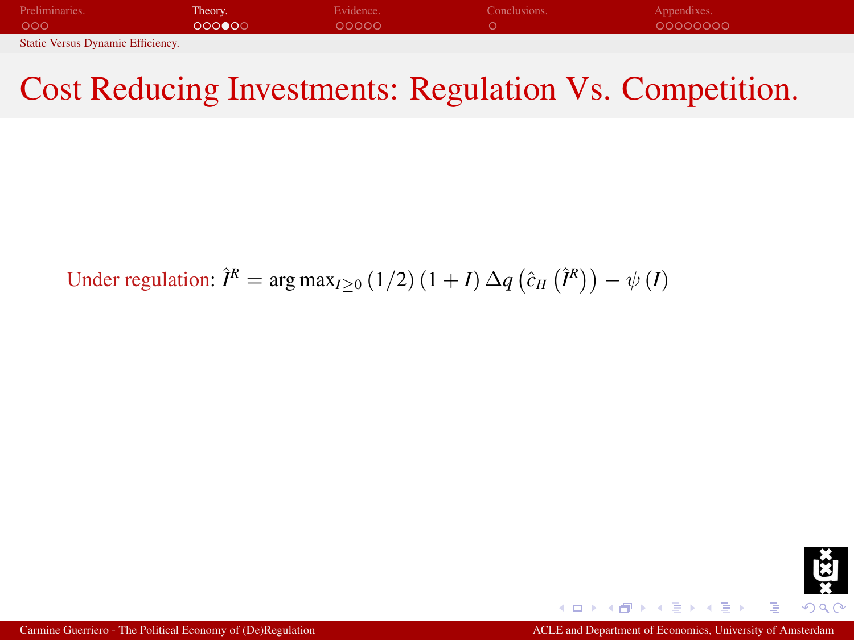| Preliminaries.                    | Theory. | Evidence. | Conclusions. | Appendixes. |
|-----------------------------------|---------|-----------|--------------|-------------|
| 000                               | 000000  | 00000     |              | 00000000    |
| Static Versus Dynamic Efficiency. |         |           |              |             |

## Cost Reducing Investments: Regulation Vs. Competition.

Under regulation:  $\hat{I}^R = \arg \max_{I \geq 0} (1/2) (1 + I) \Delta q (\hat{c}_H (\hat{I}^R)) - \psi (I)$ 

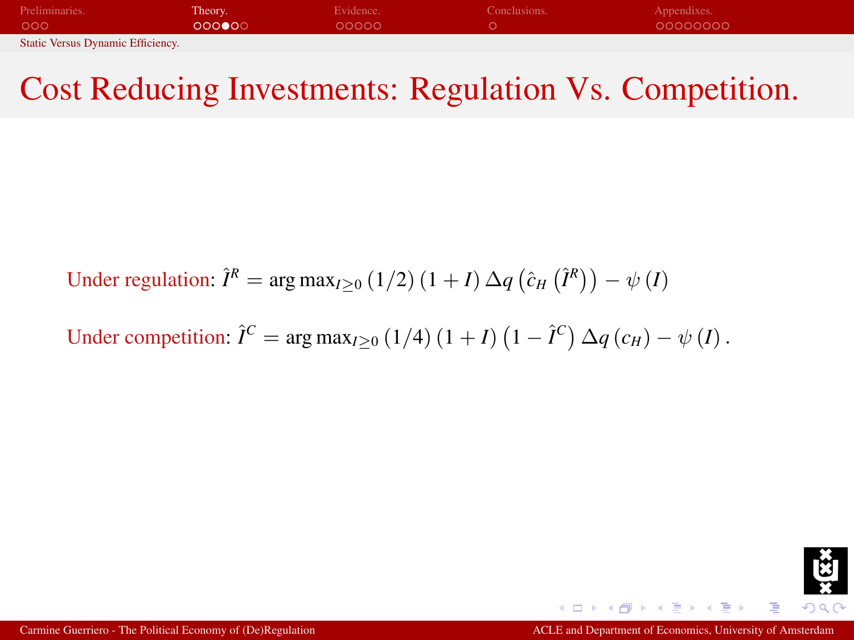| Preliminaries.                           | Theory. | Evidence. | Conclusions. | Appendixes. |
|------------------------------------------|---------|-----------|--------------|-------------|
| 000                                      | 000000  | 00000     |              | 00000000    |
| <b>Static Versus Dynamic Efficiency.</b> |         |           |              |             |

## Cost Reducing Investments: Regulation Vs. Competition.

Under regulation:  $\hat{I}^R = \arg \max_{I \geq 0} (1/2) (1 + I) \Delta q (\hat{c}_H (\hat{I}^R)) - \psi (I)$ 

Under competition: 
$$
\hat{I}^C = \arg \max_{I \geq 0} (1/4) (1 + I) (1 - \hat{I}^C) \Delta q (c_H) - \psi (I)
$$
.

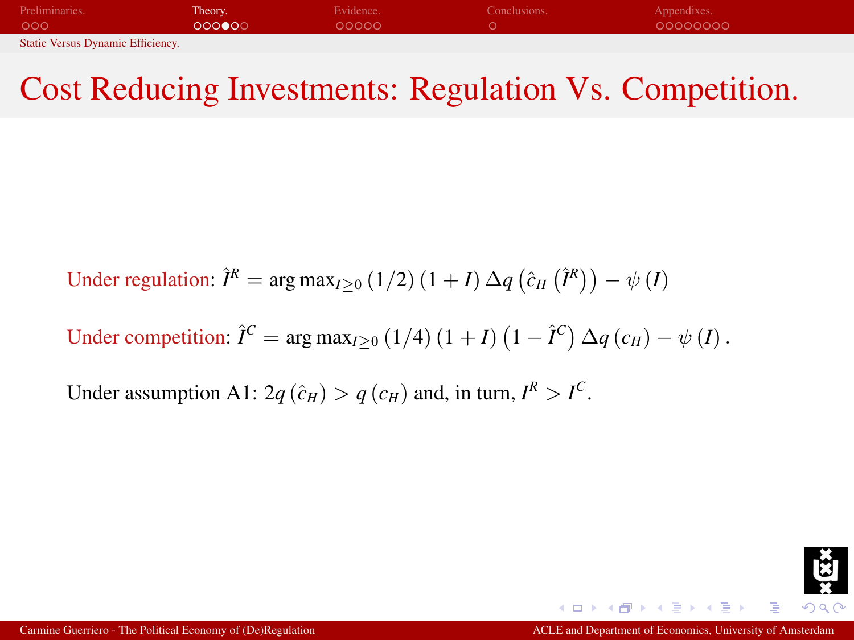| Preliminaries.                           | Theory. | Evidence. | Conclusions. | Appendixes. |
|------------------------------------------|---------|-----------|--------------|-------------|
| 000                                      | 000000  | 00000     |              | 00000000    |
| <b>Static Versus Dynamic Efficiency.</b> |         |           |              |             |

## Cost Reducing Investments: Regulation Vs. Competition.

Under regulation:  $\hat{I}^R = \arg \max_{I \geq 0} (1/2) (1 + I) \Delta q (\hat{c}_H (\hat{I}^R)) - \psi (I)$ 

Under competition:  $\hat{I}^C = \arg \max_{I \geq 0} (1/4) (1 + I) (1 - \hat{I}^C) \Delta q(c_H) - \psi(I)$ .

Under assumption A1:  $2q(\hat{c}_H) > q(c_H)$  and, in turn,  $I^R > I^C$ .

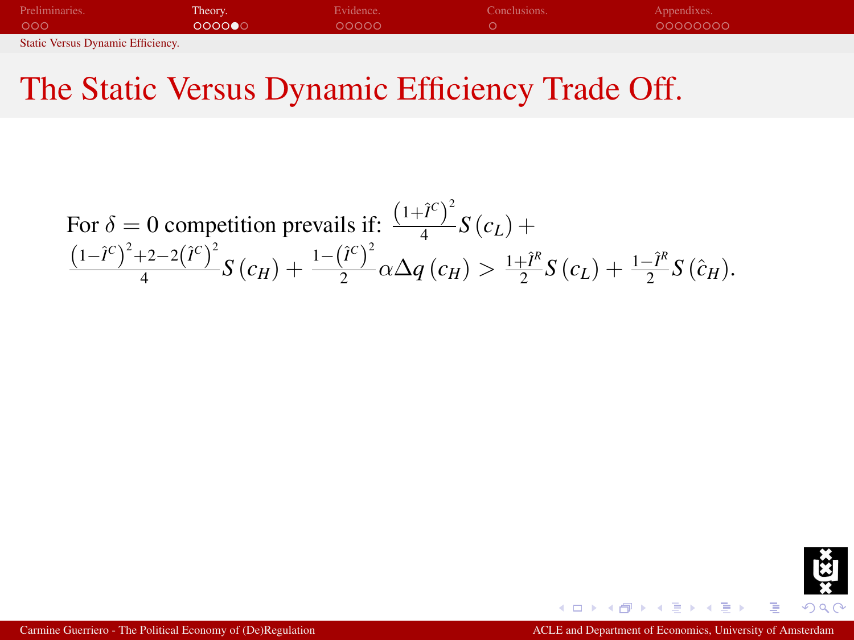| Preliminaries.                    | Theory. | Evidence. | Conclusions. | Appendixes. |
|-----------------------------------|---------|-----------|--------------|-------------|
| 000                               | 000000  | 00000     |              | 00000000    |
| Static Versus Dynamic Efficiency. |         |           |              |             |

<span id="page-22-0"></span>For 
$$
\delta = 0
$$
 competition prevails if:  $\frac{(1+\hat{i}^c)^2}{4}S(c_L) + \frac{(1-\hat{i}^c)^2+2-2(\hat{i}^c)^2}{4}S(c_H) + \frac{1-(\hat{i}^c)^2}{2}\alpha\Delta q(c_H) > \frac{1+\hat{i}^R}{2}S(c_L) + \frac{1-\hat{i}^R}{2}S(\hat{c}_H).$ 

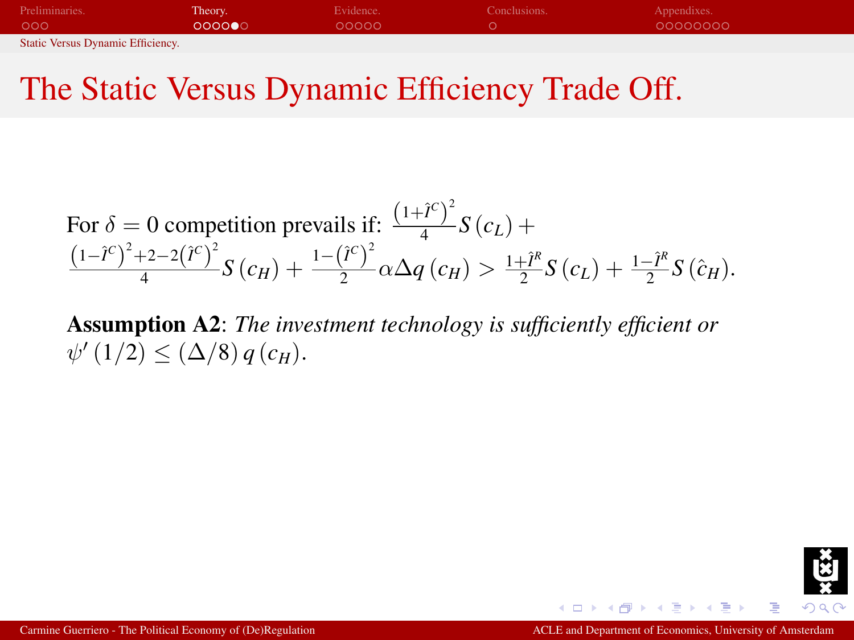| Preliminaries.                    | Theory. | Evidence. | Conclusions. | Appendixes. |
|-----------------------------------|---------|-----------|--------------|-------------|
| 000                               | 000000  | 00000     |              | 00000000    |
| Static Versus Dynamic Efficiency. |         |           |              |             |

For 
$$
\delta = 0
$$
 competition prevails if:  $\frac{(1+\hat{i}^c)^2}{4}S(c_L) + \frac{(1-\hat{i}^c)^2+2-2(\hat{i}^c)^2}{4}S(c_H) + \frac{1-(\hat{i}^c)^2}{2}\alpha\Delta q(c_H) > \frac{1+\hat{i}^R}{2}S(c_L) + \frac{1-\hat{i}^R}{2}S(\hat{c}_H).$ 

Assumption A2: *The investment technology is sufficiently efficient or*  $\psi'(1/2) \leq (\Delta/8) q(c_H).$ 

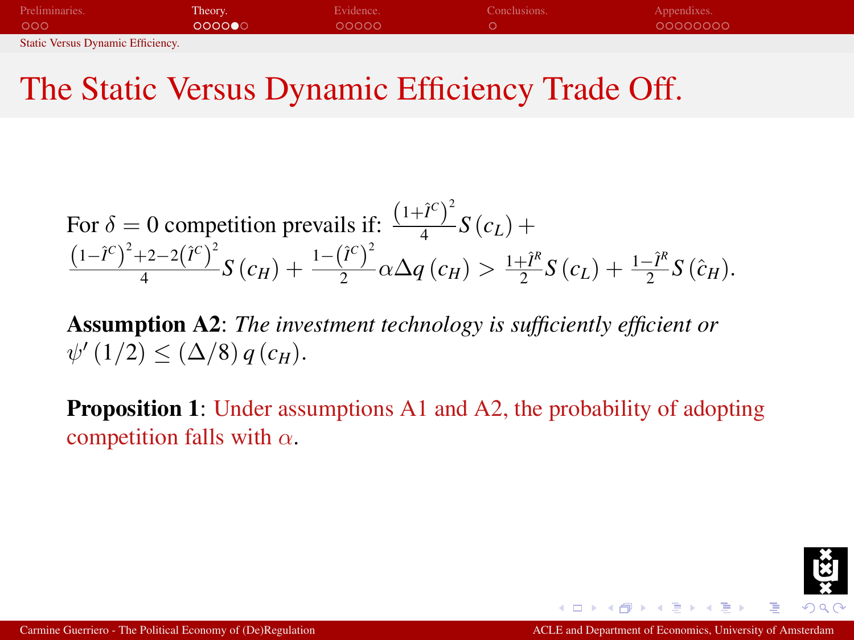| Preliminaries.                    | Theory. | Evidence. | Conclusions. | Appendixes. |
|-----------------------------------|---------|-----------|--------------|-------------|
| 000                               | 000000  | 00000     |              | 00000000    |
| Static Versus Dynamic Efficiency. |         |           |              |             |

For 
$$
\delta = 0
$$
 competition prevails if:  $\frac{(1+\hat{i}^c)^2}{4}S(c_L) + \frac{(1-\hat{i}^c)^2+2-2(\hat{i}^c)^2}{4}S(c_H) + \frac{1-(\hat{i}^c)^2}{2}\alpha\Delta q(c_H) > \frac{1+\hat{i}^R}{2}S(c_L) + \frac{1-\hat{i}^R}{2}S(\hat{c}_H).$ 

Assumption A2: *The investment technology is sufficiently efficient or*  $\psi'(1/2) \leq (\Delta/8) q(c_H).$ 

**Proposition 1:** Under assumptions A1 and A2, the probability of adopting competition falls with  $\alpha$ .

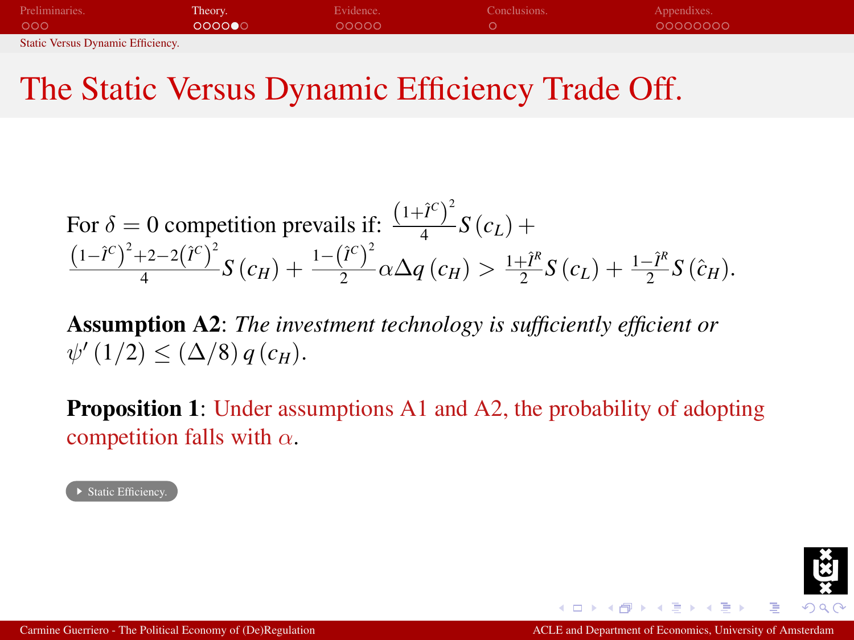| Preliminaries.                    | Theory. | Evidence. | Conclusions. | Appendixes. |  |
|-----------------------------------|---------|-----------|--------------|-------------|--|
| 000                               | 000000  | 00000     |              | 00000000    |  |
| Static Versus Dynamic Efficiency. |         |           |              |             |  |

For 
$$
\delta = 0
$$
 competition prevails if:  $\frac{(1+\hat{i}^c)^2}{4}S(c_L) + \frac{(1-\hat{i}^c)^2+2-2(\hat{i}^c)^2}{4}S(c_H) + \frac{1-(\hat{i}^c)^2}{2}\alpha\Delta q(c_H) > \frac{1+\hat{i}^R}{2}S(c_L) + \frac{1-\hat{i}^R}{2}S(\hat{c}_H).$ 

Assumption A2: *The investment technology is sufficiently efficient or*  $\psi'(1/2) \leq (\Delta/8) q(c_H).$ 

**Proposition 1:** Under assumptions A1 and A2, the probability of adopting competition falls with  $\alpha$ .

→<br>▶ Static Efficiency

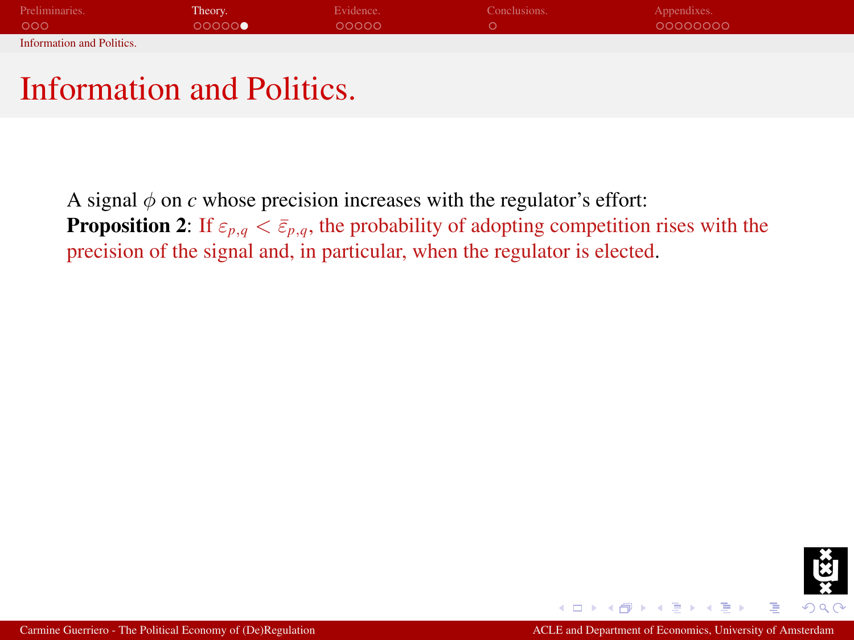| Preliminaries.            | Theory. | Evidence. | Conclusions. | Appendixes. |
|---------------------------|---------|-----------|--------------|-------------|
| 000                       | 00000   | ററററ      |              | 00000000    |
| Information and Politics. |         |           |              |             |

<span id="page-26-1"></span><span id="page-26-0"></span>A signal  $\phi$  on *c* whose precision increases with the regulator's effort: **Proposition 2:** If  $\varepsilon_{p,q} < \bar{\varepsilon}_{p,q}$ , the probability of adopting competition rises with the precision of the signal and, in particular, when the regulator is elected.

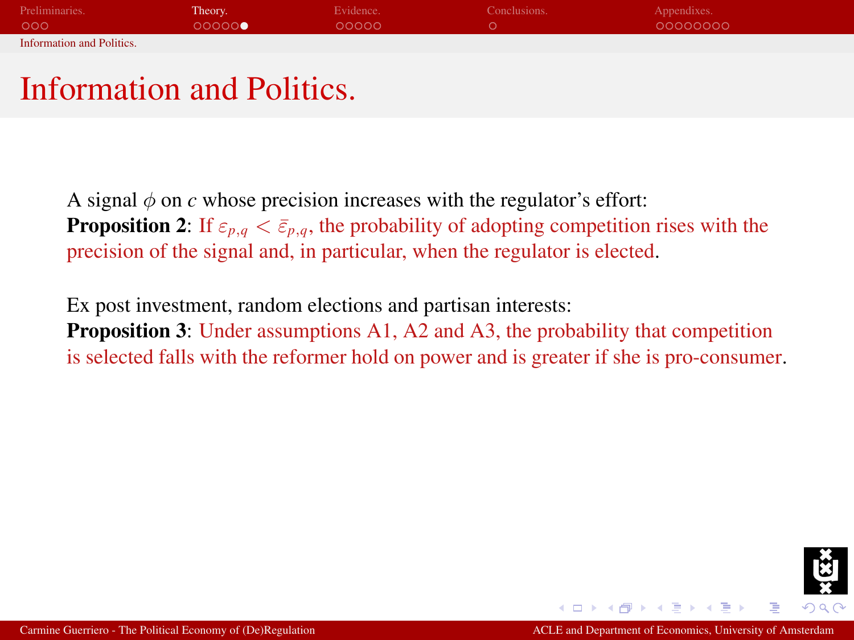| Preliminaries.                   | Theory. | Evidence. | Conclusions. | Appendixes. |
|----------------------------------|---------|-----------|--------------|-------------|
| 000                              | 00000   | LOOOO O   |              | 00000000    |
| <b>Information and Politics.</b> |         |           |              |             |

A signal  $\phi$  on *c* whose precision increases with the regulator's effort: **Proposition 2:** If  $\varepsilon_{p,q} < \bar{\varepsilon}_{p,q}$ , the probability of adopting competition rises with the precision of the signal and, in particular, when the regulator is elected.

Ex post investment, random elections and partisan interests: Proposition 3: Under assumptions A1, A2 and A3, the probability that competition is selected falls with the reformer hold on power and is greater if she is pro-consumer.

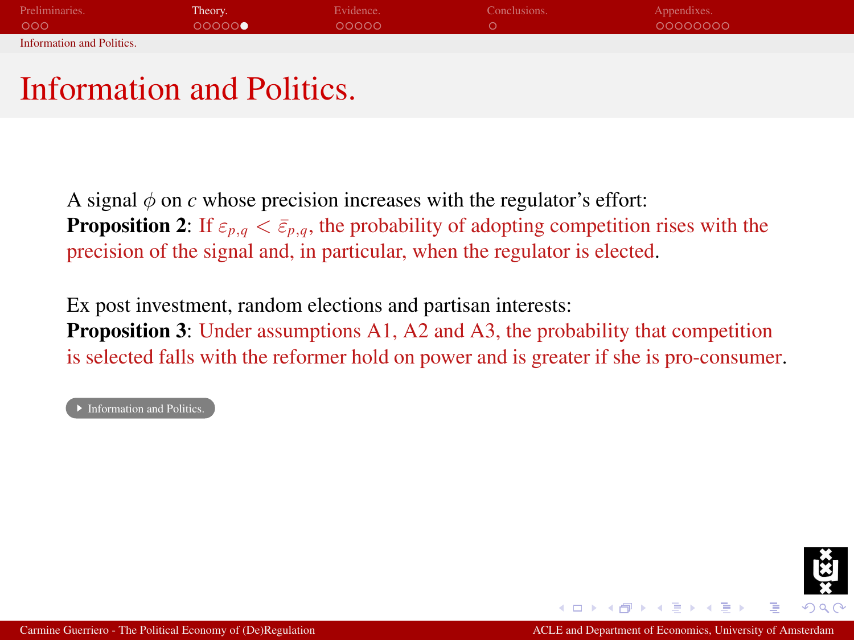| Preliminaries.                   | Theory. | Evidence. | Conclusions. | Appendixes. |
|----------------------------------|---------|-----------|--------------|-------------|
| 000                              | 00000   | LOOOO O   |              | 00000000    |
| <b>Information and Politics.</b> |         |           |              |             |

A signal  $\phi$  on *c* whose precision increases with the regulator's effort: **Proposition 2:** If  $\varepsilon_{p,q} < \bar{\varepsilon}_{p,q}$ , the probability of adopting competition rises with the precision of the signal and, in particular, when the regulator is elected.

Ex post investment, random elections and partisan interests: Proposition 3: Under assumptions A1, A2 and A3, the probability that competition is selected falls with the reformer hold on power and is greater if she is pro-consumer.

**Information and Politics** 

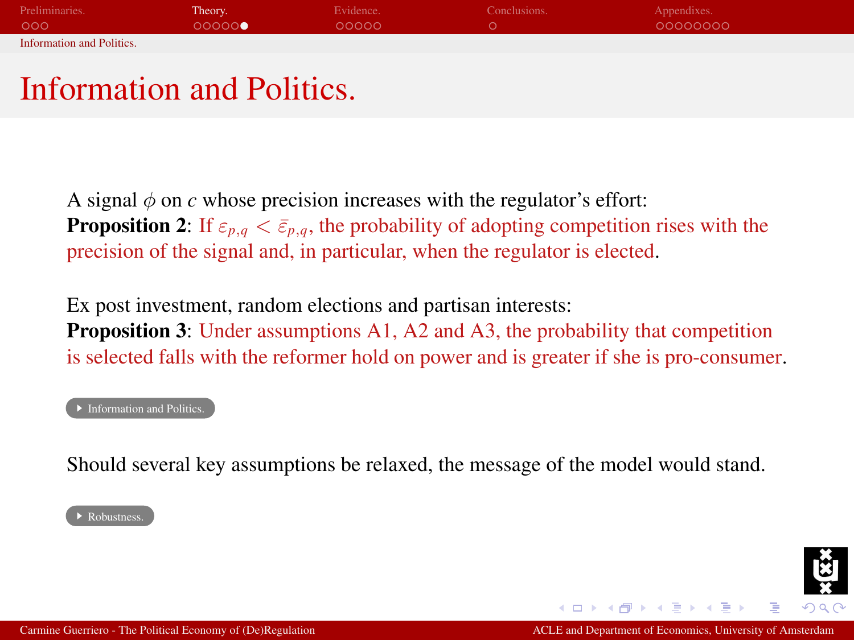| Preliminaries.                   | Theory. | Evidence. | Conclusions. | Appendixes. |
|----------------------------------|---------|-----------|--------------|-------------|
| 000                              | 00000   | LOOOO O   |              | 00000000    |
| <b>Information and Politics.</b> |         |           |              |             |

A signal  $\phi$  on *c* whose precision increases with the regulator's effort: **Proposition 2:** If  $\varepsilon_{p,q} < \bar{\varepsilon}_{p,q}$ , the probability of adopting competition rises with the precision of the signal and, in particular, when the regulator is elected.

Ex post investment, random elections and partisan interests: **Proposition 3:** Under assumptions A1, A2 and A3, the probability that competition is selected falls with the reformer hold on power and is greater if she is pro-consumer.

#### **[Information and Politics.](#page-43-0)**

Should several key assumptions be relaxed, the message of the model would stand.

#### ▶ Robustness

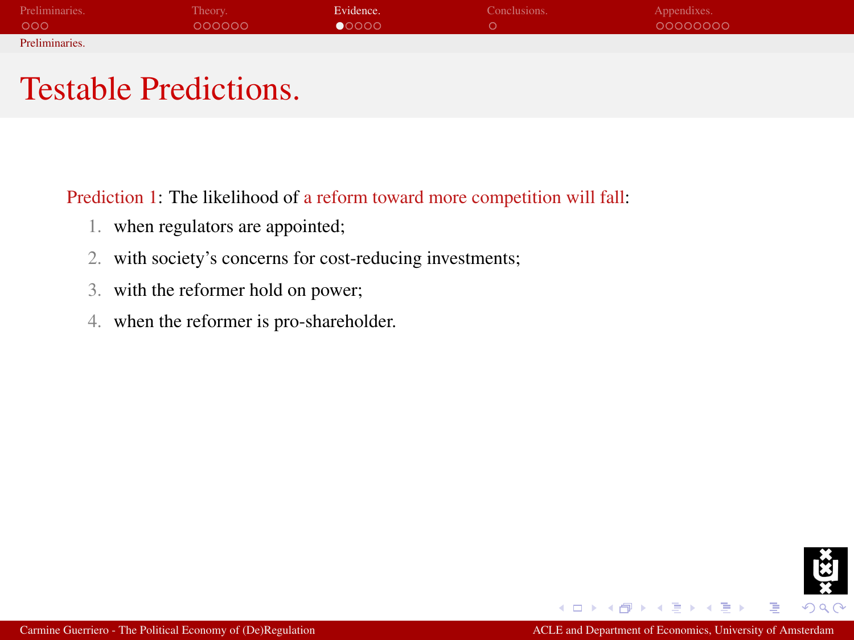| Preliminaries. | Theory. | Evidence. | Conclusions. | Appendixes. |
|----------------|---------|-----------|--------------|-------------|
| 000            | 000000  | 00000     |              | 00000000    |
| Preliminaries. |         |           |              |             |

#### Testable Predictions.

Prediction 1: The likelihood of a reform toward more competition will fall:

- 1. when regulators are appointed;
- 2. with society's concerns for cost-reducing investments;
- 3. with the reformer hold on power;
- 4. when the reformer is pro-shareholder.



<span id="page-30-0"></span>Þ

 $-10<sup>-1</sup>$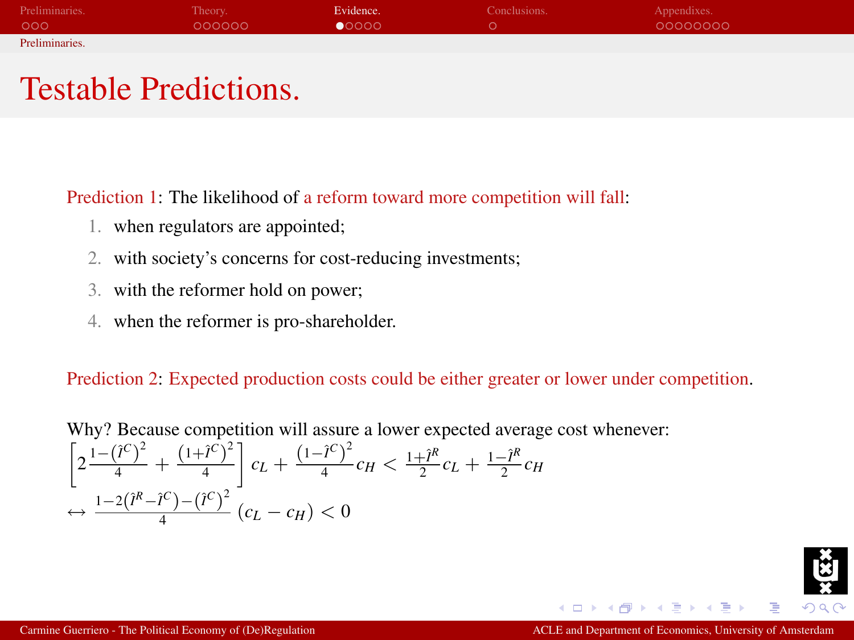| Preliminaries. | Theory. | Evidence. | Conclusions. | Appendixes. |
|----------------|---------|-----------|--------------|-------------|
| 000            | 000000  | 00000     |              | 00000000    |
| Preliminaries. |         |           |              |             |

#### Testable Predictions.

Prediction 1: The likelihood of a reform toward more competition will fall:

- 1. when regulators are appointed;
- 2. with society's concerns for cost-reducing investments;
- 3. with the reformer hold on power;
- 4. when the reformer is pro-shareholder.

Prediction 2: Expected production costs could be either greater or lower under competition.

Why? Because competition will assure a lower expected average cost whenever:  $\left[2\frac{1-(\hat{l}^C)^2}{4} + \frac{(1+\hat{l}^C)^2}{4}\right]$ 4  $c_L + \frac{(1-\hat{i}^C)^2}{4}$  $\frac{(1)^{c}}{4}$  *c<sub>H</sub>*  $\lt \frac{1+\hat{I}^{R}}{2}$  $\frac{1-\hat{I}^R}{2}c_L + \frac{1-\hat{I}^R}{2}$  $\frac{e^{-T}}{2}c_H$  $\leftrightarrow \frac{1-2(\hat{I}^R-\hat{I}^C)-(\hat{I}^C)^2}{4}$  $\frac{c}{4}$   $\frac{f - (t)}{f}$   $(c_L - c_H) < 0$ 

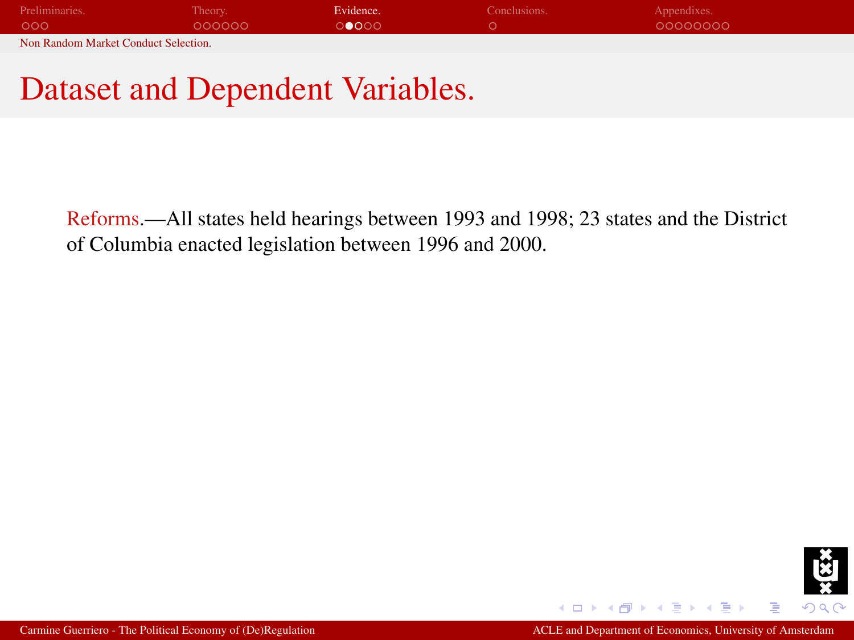| Preliminaries.                       | Theory. | Evidence. | Conclusions. | Appendixes. |  |
|--------------------------------------|---------|-----------|--------------|-------------|--|
| 000                                  | 000000  | ി∩െറ      |              | 00000000    |  |
| Non Random Market Conduct Selection. |         |           |              |             |  |

#### Dataset and Dependent Variables.

Reforms.—All states held hearings between 1993 and 1998; 23 states and the District of Columbia enacted legislation between 1996 and 2000.

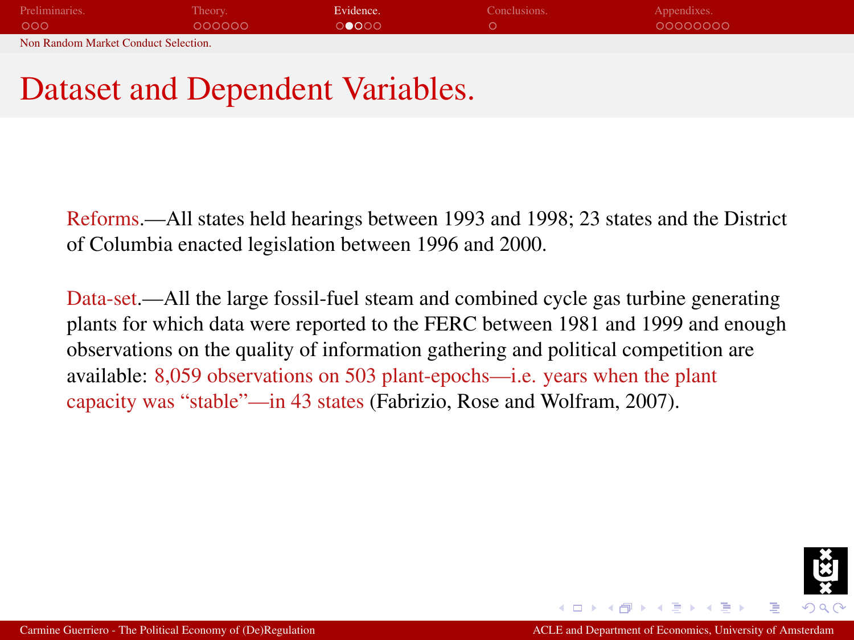| Preliminaries.                       | Theory. | Evidence. | Conclusions. | Appendixes. |  |
|--------------------------------------|---------|-----------|--------------|-------------|--|
| 000                                  | 000000  | ി∩െറ      |              | 00000000    |  |
| Non Random Market Conduct Selection. |         |           |              |             |  |

## Dataset and Dependent Variables.

Reforms.—All states held hearings between 1993 and 1998; 23 states and the District of Columbia enacted legislation between 1996 and 2000.

Data-set.—All the large fossil-fuel steam and combined cycle gas turbine generating plants for which data were reported to the FERC between 1981 and 1999 and enough observations on the quality of information gathering and political competition are available: 8,059 observations on 503 plant-epochs—i.e. years when the plant capacity was "stable"—in 43 states (Fabrizio, Rose and Wolfram, 2007).

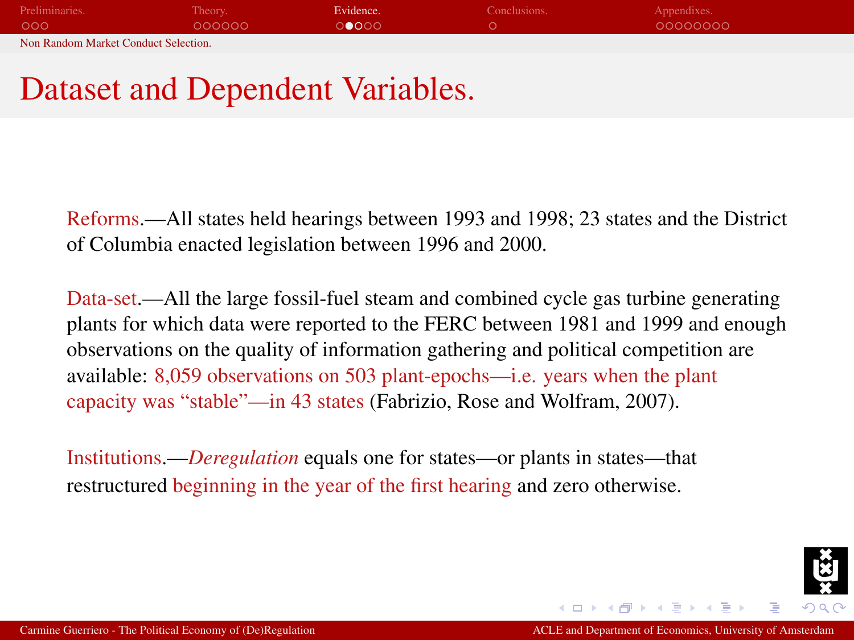| Preliminaries.                       | Theory. | Evidence. | Conclusions. | Appendixes. |  |
|--------------------------------------|---------|-----------|--------------|-------------|--|
| 000                                  | COOOOO  | ാരറെ      |              | 00000000    |  |
| Non Random Market Conduct Selection. |         |           |              |             |  |

## Dataset and Dependent Variables.

Reforms.—All states held hearings between 1993 and 1998; 23 states and the District of Columbia enacted legislation between 1996 and 2000.

Data-set.—All the large fossil-fuel steam and combined cycle gas turbine generating plants for which data were reported to the FERC between 1981 and 1999 and enough observations on the quality of information gathering and political competition are available: 8,059 observations on 503 plant-epochs—i.e. years when the plant capacity was "stable"—in 43 states (Fabrizio, Rose and Wolfram, 2007).

Institutions.—*Deregulation* equals one for states—or plants in states—that restructured beginning in the year of the first hearing and zero otherwise.

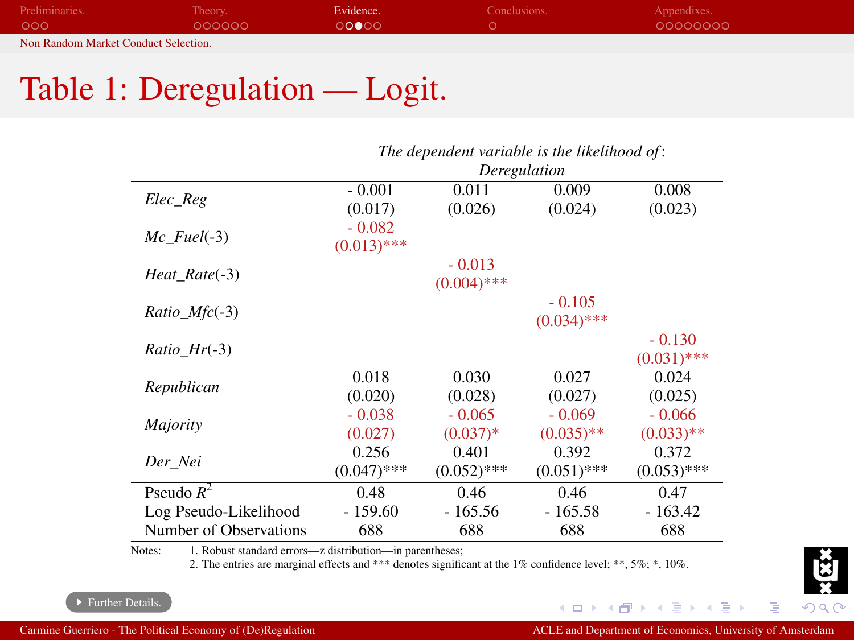| Preliminaries.                       | Theory. | Evidence. | Conclusions. | Appendixes. |  |
|--------------------------------------|---------|-----------|--------------|-------------|--|
| 000                                  | 000000  | ೧೧●೧೧     |              | 00000000    |  |
| Non Random Market Conduct Selection. |         |           |              |             |  |

## Table 1: Deregulation — Logit.

|                        | The dependent variable is the likelihood of: |               |               |               |  |  |
|------------------------|----------------------------------------------|---------------|---------------|---------------|--|--|
|                        | Deregulation                                 |               |               |               |  |  |
|                        | $-0.001$                                     | 0.011         | 0.009         | 0.008         |  |  |
| Elec Reg               | (0.017)                                      | (0.026)       | (0.024)       | (0.023)       |  |  |
|                        | $-0.082$                                     |               |               |               |  |  |
| $Mc$ Fuel $(-3)$       | $(0.013)$ ***                                |               |               |               |  |  |
|                        |                                              | $-0.013$      |               |               |  |  |
| Heat_Rate(-3)          |                                              | $(0.004)$ *** |               |               |  |  |
|                        |                                              |               | $-0.105$      |               |  |  |
| Ratio Mfc(-3)          |                                              |               | $(0.034)$ *** |               |  |  |
| <i>Ratio Hr</i> $(-3)$ |                                              |               |               | $-0.130$      |  |  |
|                        |                                              |               |               | $(0.031)$ *** |  |  |
|                        | 0.018                                        | 0.030         | 0.027         | 0.024         |  |  |
| Republican             | (0.020)                                      | (0.028)       | (0.027)       | (0.025)       |  |  |
|                        | $-0.038$                                     | $-0.065$      | $-0.069$      | $-0.066$      |  |  |
| Majority               | (0.027)                                      | $(0.037)*$    | $(0.035)$ **  | $(0.033)$ **  |  |  |
|                        | 0.256                                        | 0.401         | 0.392         | 0.372         |  |  |
| Der Nei                | $(0.047)$ ***                                | $(0.052)$ *** | $(0.051)$ *** | $(0.053)$ *** |  |  |
| Pseudo $R^2$           | 0.48                                         | 0.46          | 0.46          | 0.47          |  |  |
| Log Pseudo-Likelihood  | $-159.60$                                    | $-165.56$     | $-165.58$     | $-163.42$     |  |  |
| Number of Observations | 688                                          | 688           | 688           | 688           |  |  |

L,

÷

Notes: 1. Robust standard errors—z distribution—in parentheses;

<span id="page-35-0"></span>2. The entries are marginal effects and \*\*\* denotes significant at the 1% confidence level; \*\*, 5%; \*, 10%.



 $\mathcal{A}$  . 重

**K ロ ト K 伊** 

 $\rightarrow$ 

 $\Omega$ 

E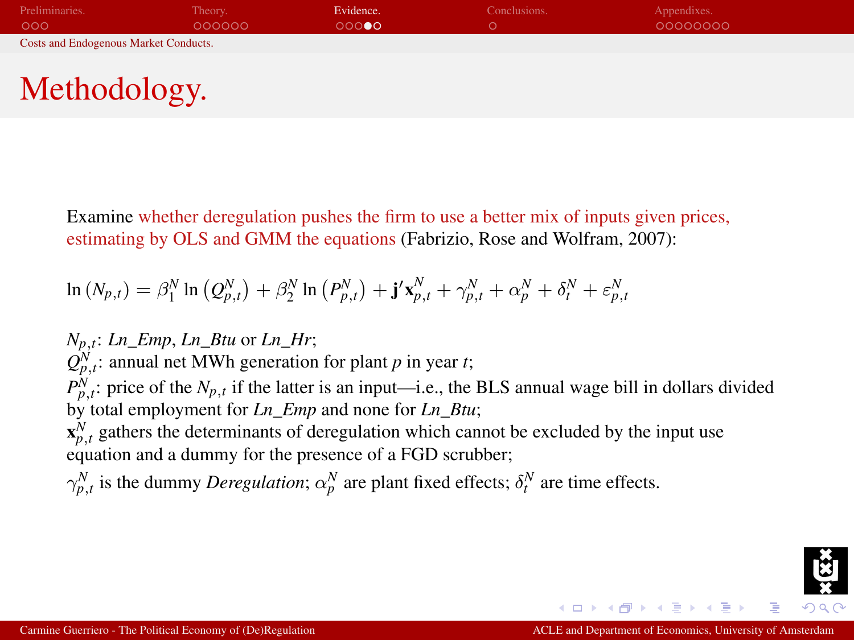| Preliminaries.                               | Theory. | Evidence. | Conclusions. | Appendixes. |  |
|----------------------------------------------|---------|-----------|--------------|-------------|--|
| 000                                          | 000000  | ററൈ       |              | 00000000    |  |
| <b>Costs and Endogenous Market Conducts.</b> |         |           |              |             |  |

# Methodology.

Examine whether deregulation pushes the firm to use a better mix of inputs given prices, estimating by OLS and GMM the equations (Fabrizio, Rose and Wolfram, 2007):

$$
\ln\left(N_{p,t}\right) = \beta_1^N \ln\left(Q_{p,t}^N\right) + \beta_2^N \ln\left(P_{p,t}^N\right) + \mathbf{j'}\mathbf{x}_{p,t}^N + \gamma_{p,t}^N + \alpha_p^N + \delta_t^N + \varepsilon_{p,t}^N
$$

*Np*,*t*: *Ln\_Emp*, *Ln\_Btu* or *Ln\_Hr*;  $Q_{p,t}^N$ : annual net MWh generation for plant *p* in year *t*;  $P_{p,t}^N$ : price of the  $N_{p,t}$  if the latter is an input—i.e., the BLS annual wage bill in dollars divided by total employment for *Ln\_Emp* and none for *Ln\_Btu*;  $\mathbf{x}_{p,t}^N$  gathers the determinants of deregulation which cannot be excluded by the input use equation and a dummy for the presence of a FGD scrubber;

 $\gamma_{p,t}^N$  is the dummy *Deregulation*;  $\alpha_p^N$  are plant fixed effects;  $\delta_t^N$  are time effects.

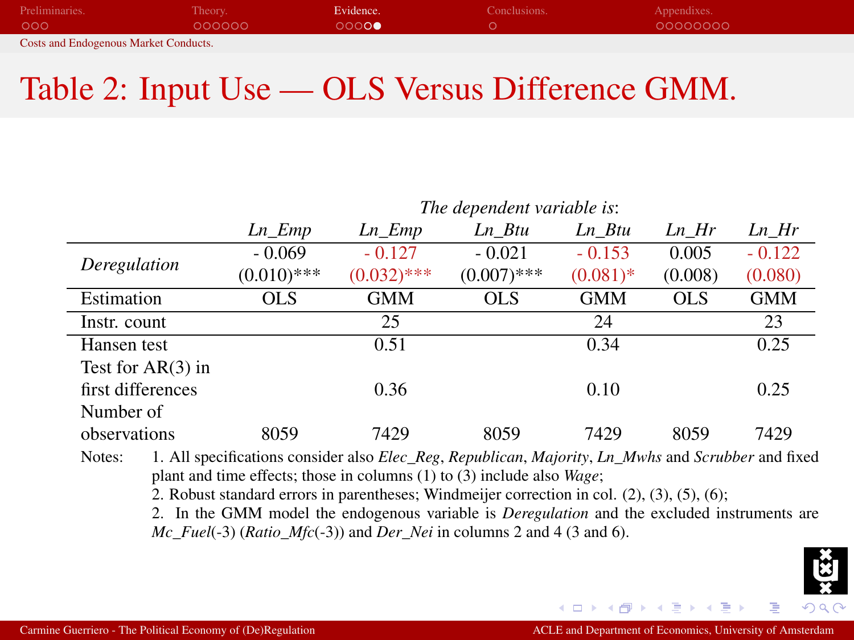| Preliminaries.                               | Theory. | Evidence. | Conclusions. | Appendixes. |
|----------------------------------------------|---------|-----------|--------------|-------------|
| 000                                          | 000000  | 0000      |              | 00000000    |
| <b>Costs and Endogenous Market Conducts.</b> |         |           |              |             |

## Table 2: Input Use — OLS Versus Difference GMM.

|                     |                                                                                                                                                                                                                                                                                                                   | The dependent variable is: |               |             |            |            |  |
|---------------------|-------------------------------------------------------------------------------------------------------------------------------------------------------------------------------------------------------------------------------------------------------------------------------------------------------------------|----------------------------|---------------|-------------|------------|------------|--|
|                     | Ln Emp                                                                                                                                                                                                                                                                                                            | Ln Emp                     | Ln Btu        | Ln Btu      | Ln Hr      | Ln Hr      |  |
|                     | $-0.069$                                                                                                                                                                                                                                                                                                          | $-0.127$                   | $-0.021$      | $-0.153$    | 0.005      | $-0.122$   |  |
| Deregulation        | $(0.010)$ ***                                                                                                                                                                                                                                                                                                     | $(0.032)$ ***              | $(0.007)$ *** | $(0.081)$ * | (0.008)    | (0.080)    |  |
| Estimation          | <b>OLS</b>                                                                                                                                                                                                                                                                                                        | <b>GMM</b>                 | <b>OLS</b>    | <b>GMM</b>  | <b>OLS</b> | <b>GMM</b> |  |
| Instr. count        |                                                                                                                                                                                                                                                                                                                   | 25                         |               | 24          |            | 23         |  |
| Hansen test         |                                                                                                                                                                                                                                                                                                                   | 0.51                       |               | 0.34        |            | 0.25       |  |
| Test for $AR(3)$ in |                                                                                                                                                                                                                                                                                                                   |                            |               |             |            |            |  |
| first differences   |                                                                                                                                                                                                                                                                                                                   | 0.36                       |               | 0.10        |            | 0.25       |  |
| Number of           |                                                                                                                                                                                                                                                                                                                   |                            |               |             |            |            |  |
| observations        | 8059                                                                                                                                                                                                                                                                                                              | 7429                       | 8059          | 7429        | 8059       | 7429       |  |
| Notes:              | 1. All specifications consider also <i>Elec_Reg, Republican, Majority, Ln_Mwhs</i> and <i>Scrubber</i> and fixed<br>plant and time effects; those in columns $(1)$ to $(3)$ include also <i>Wage</i> ;<br>2. Robust standard errors in parentheses; Windmeijer correction in col. $(2)$ , $(3)$ , $(5)$ , $(6)$ ; |                            |               |             |            |            |  |

2. In the GMM model the endogenous variable is *Deregulation* and the excluded instruments are *Mc\_Fuel*(-3) (*Ratio\_Mfc*(-3)) and *Der\_Nei* in columns 2 and 4 (3 and 6).

4日)

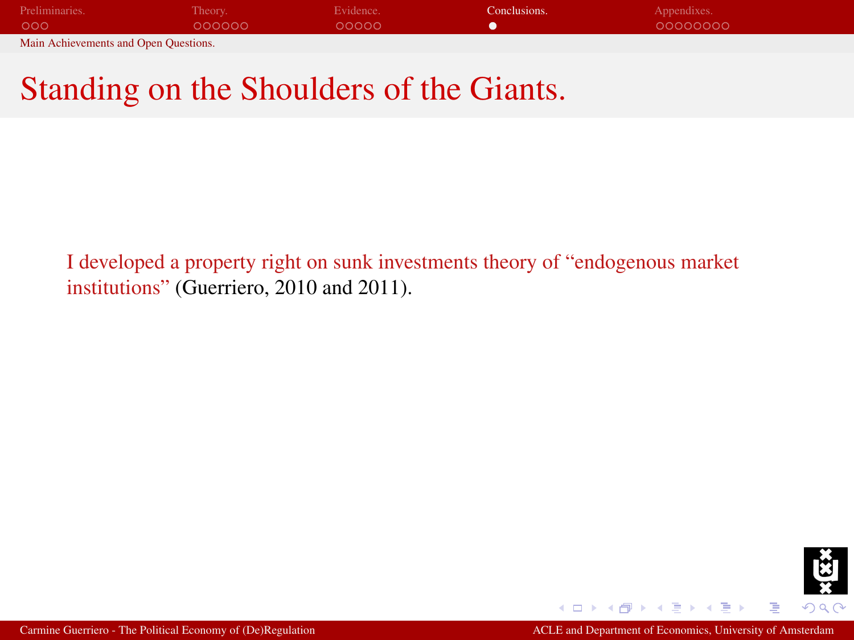| Preliminaries.                        | Theory. | Evidence. | Conclusions. | Appendixes. |
|---------------------------------------|---------|-----------|--------------|-------------|
| 000                                   | 000000  | 00000     |              | 00000000    |
| Main Achievements and Open Questions. |         |           |              |             |

## Standing on the Shoulders of the Giants.

I developed a property right on sunk investments theory of "endogenous market institutions" (Guerriero, 2010 and 2011).

<span id="page-38-0"></span>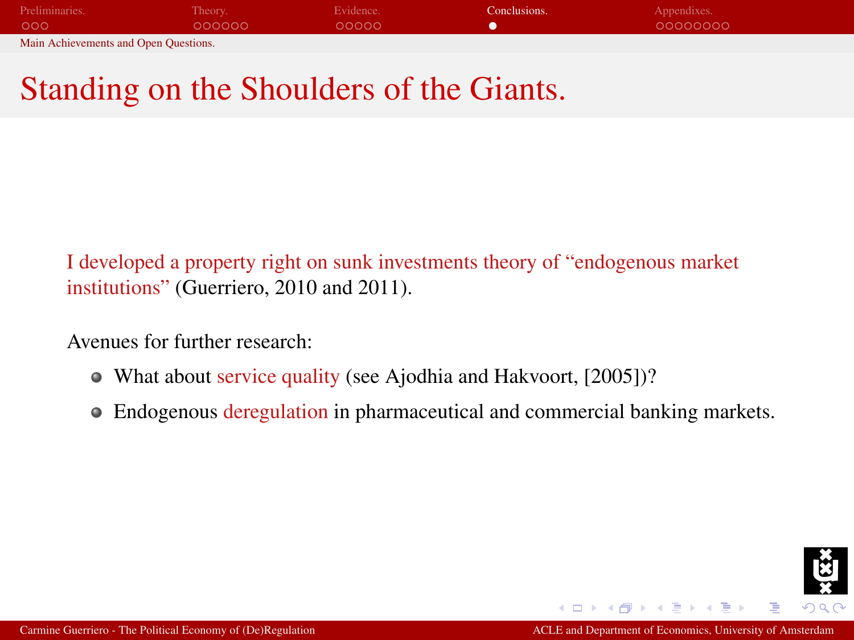| Preliminaries.                        | Theory. | Evidence. | Conclusions. | Appendixes. |
|---------------------------------------|---------|-----------|--------------|-------------|
| 000                                   | 000000  | 00000     |              | 00000000    |
| Main Achievements and Open Questions. |         |           |              |             |

## Standing on the Shoulders of the Giants.

I developed a property right on sunk investments theory of "endogenous market institutions" (Guerriero, 2010 and 2011).

Avenues for further research:

- What about service quality (see Ajodhia and Hakvoort, [2005])?
- Endogenous deregulation in pharmaceutical and commercial banking markets.

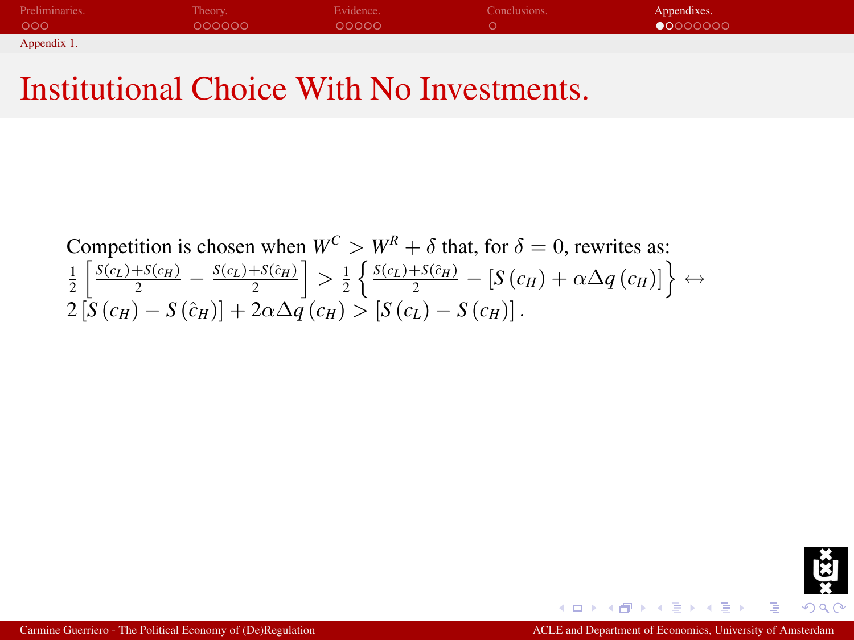| Preliminaries. | Theory. | Evidence. | Conclusions. | Appendixes.       |
|----------------|---------|-----------|--------------|-------------------|
| 000            | 000000  | 00000     |              | $\bullet$ 0000000 |
| Appendix 1.    |         |           |              |                   |

## Institutional Choice With No Investments.

<span id="page-40-1"></span>\nCompetition is chosen when 
$$
W^C > W^R + \delta
$$
 that, for  $\delta = 0$ , rewrites as:\n

\n\n
$$
\frac{1}{2} \left[ \frac{S(c_L) + S(c_H)}{2} - \frac{S(c_L) + S(\hat{c}_H)}{2} \right] > \frac{1}{2} \left\{ \frac{S(c_L) + S(\hat{c}_H)}{2} - \left[ S(c_H) + \alpha \Delta q(c_H) \right] \right\} \leftrightarrow 2 \left[ S(c_H) - S(\hat{c}_H) \right] + 2\alpha \Delta q(c_H) > \left[ S(c_L) - S(c_H) \right].
$$
\n



Þ

<span id="page-40-0"></span>Ξ

4日)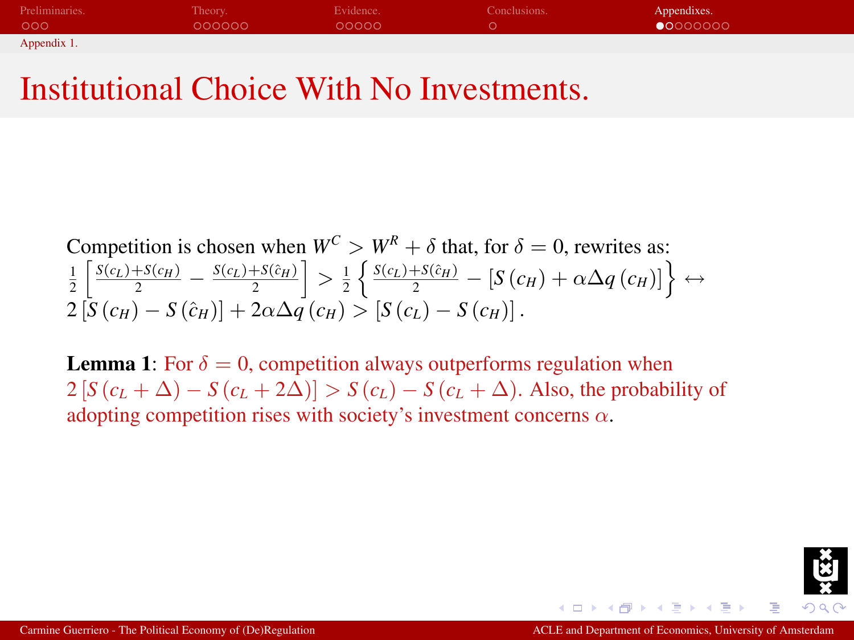| Preliminaries. | Theory. | Evidence. | Conclusions. | Appendixes.       |
|----------------|---------|-----------|--------------|-------------------|
| 000            | 000000  | 00000     |              | $\bullet$ 0000000 |
| Appendix 1.    |         |           |              |                   |

#### Institutional Choice With No Investments.

\nCompetition is chosen when 
$$
W^C > W^R + \delta
$$
 that, for  $\delta = 0$ , rewrites as:\n

\n\n
$$
\frac{1}{2} \left[ \frac{S(c_L) + S(c_H)}{2} - \frac{S(c_L) + S(\hat{c}_H)}{2} \right] > \frac{1}{2} \left\{ \frac{S(c_L) + S(\hat{c}_H)}{2} - \left[ S(c_H) + \alpha \Delta q(c_H) \right] \right\} \leftrightarrow 2 \left[ S(c_H) - S(\hat{c}_H) \right] + 2\alpha \Delta q(c_H) > \left[ S(c_L) - S(c_H) \right].
$$
\n

**Lemma 1:** For  $\delta = 0$ , competition always outperforms regulation when  $2 [S (c_L + \Delta) - S (c_L + 2\Delta)] > S (c_L) - S (c_L + \Delta)$ . Also, the probability of adopting competition rises with society's investment concerns  $\alpha$ .

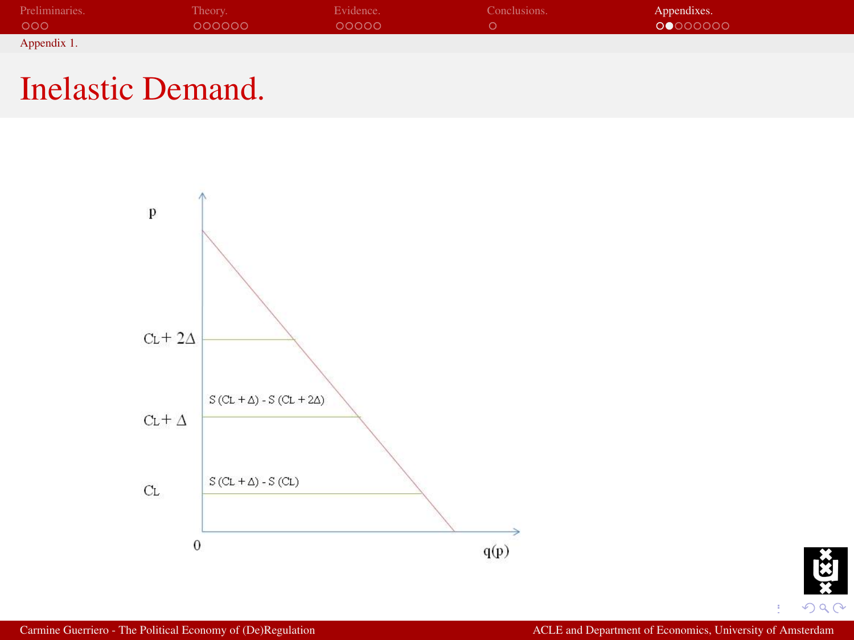| Preliminaries. | Theory. | Evidence. | Conclusions. | Appendixes. |
|----------------|---------|-----------|--------------|-------------|
| 000            | 000000  | 00000     |              | 00000000    |
| Appendix 1.    |         |           |              |             |

## Inelastic Demand.



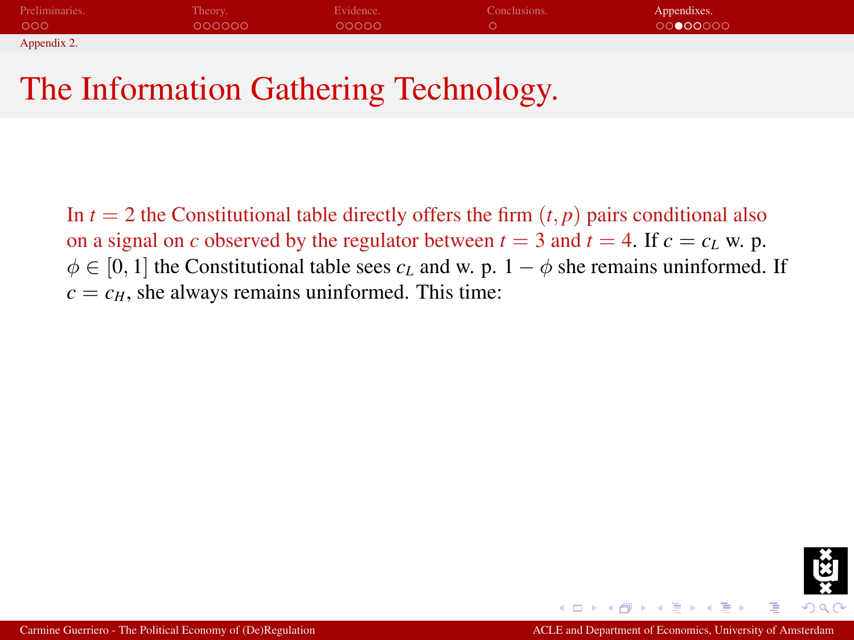| Preliminaries. | Theory. | Evidence. | Conclusions. | Appendixes. |
|----------------|---------|-----------|--------------|-------------|
| 000            | 000000  | 00000     |              | 0000000     |
| Appendix 2.    |         |           |              |             |

## The Information Gathering Technology.

<span id="page-43-0"></span>In  $t = 2$  the Constitutional table directly offers the firm  $(t, p)$  pairs conditional also on a signal on *c* observed by the regulator between  $t = 3$  and  $t = 4$ . If  $c = c<sub>L</sub>$  w. p.  $\phi \in [0, 1]$  the Constitutional table sees  $c_L$  and w. p.  $1 - \phi$  she remains uninformed. If  $c = c_H$ , she always remains uninformed. This time:

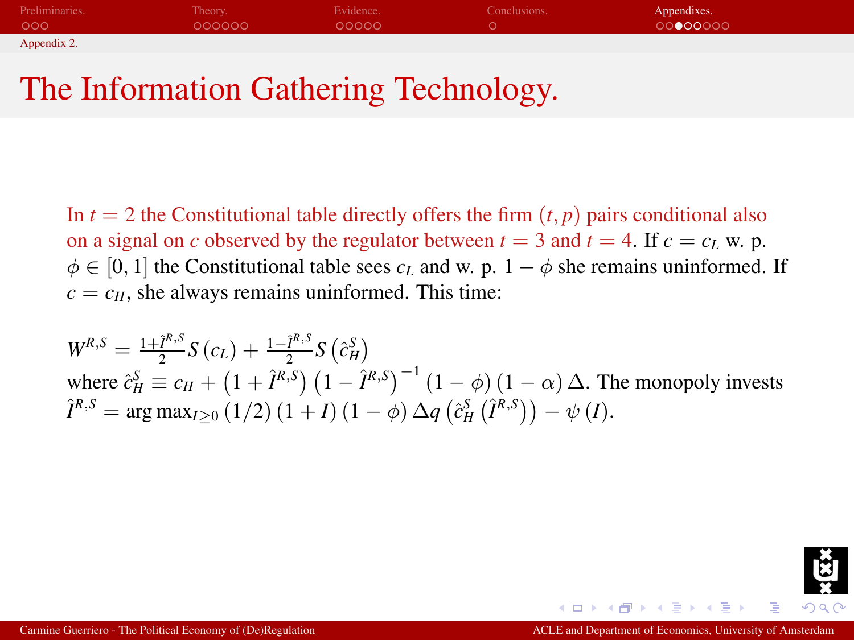| Preliminaries. | Theory. | Evidence. | Conclusions. | Appendixes. |
|----------------|---------|-----------|--------------|-------------|
| 000            | 000000  | 00000     |              | 0000000     |
| Appendix 2.    |         |           |              |             |

## The Information Gathering Technology.

In  $t = 2$  the Constitutional table directly offers the firm  $(t, p)$  pairs conditional also on a signal on *c* observed by the regulator between  $t = 3$  and  $t = 4$ . If  $c = c<sub>L</sub>$  w. p.  $\phi \in [0, 1]$  the Constitutional table sees  $c_L$  and w. p.  $1 - \phi$  she remains uninformed. If  $c = c_H$ , she always remains uninformed. This time:

 $W^{R,S} = \frac{1+\hat{I}^{R,S}}{2}$  $\frac{\hat{I}^{R,S}}{2} S(c_L) + \frac{1-\hat{I}^{R,S}}{2}$  $\frac{\hat{I}^{R,3}}{2} S\left(\hat{c}_H^S\right)$ where  $\hat{c}_H^S \equiv c_H + (1 + \hat{I}^{R,S}) (1 - \hat{I}^{R,S})^{-1} (1 - \phi) (1 - \alpha) \Delta$ . The monopoly invests  $\hat{I}^{R,S} = \arg \max_{I \geq 0} (1/2) (1 + I) (1 - \phi) \Delta q (\hat{c}_H^S(\hat{I}^{R,S})) - \psi(I).$ 

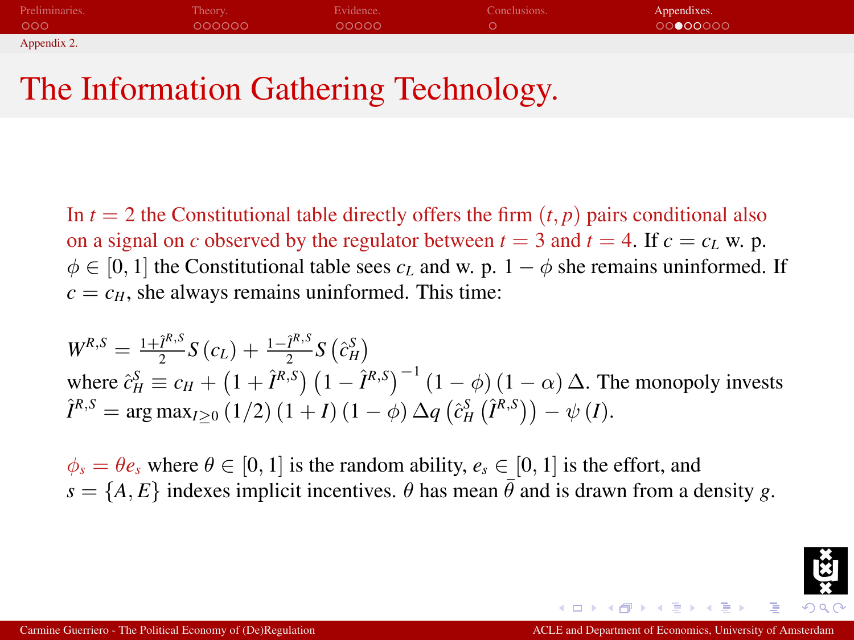| Preliminaries. | Theory. | Evidence. | Conclusions. | Appendixes. |
|----------------|---------|-----------|--------------|-------------|
| 000            | 000000  | 00000     |              | 0000000     |
| Appendix 2.    |         |           |              |             |

## The Information Gathering Technology.

In  $t = 2$  the Constitutional table directly offers the firm  $(t, p)$  pairs conditional also on a signal on *c* observed by the regulator between  $t = 3$  and  $t = 4$ . If  $c = c<sub>L</sub>$  w. p.  $\phi \in [0, 1]$  the Constitutional table sees  $c_L$  and w. p.  $1 - \phi$  she remains uninformed. If  $c = c_H$ , she always remains uninformed. This time:

 $W^{R,S} = \frac{1+\hat{I}^{R,S}}{2}$  $\frac{\hat{I}^{R,S}}{2} S(c_L) + \frac{1-\hat{I}^{R,S}}{2}$  $\frac{\hat{I}^{R,3}}{2} S\left(\hat{c}_H^S\right)$ where  $\hat{c}_H^S \equiv c_H + (1 + \hat{I}^{R,S}) (1 - \hat{I}^{R,S})^{-1} (1 - \phi) (1 - \alpha) \Delta$ . The monopoly invests  $\hat{I}^{R,S} = \arg \max_{I \geq 0} (1/2) (1 + I) (1 - \phi) \Delta q (\hat{c}_H^S(\hat{I}^{R,S})) - \psi(I).$ 

 $\phi_s = \theta e_s$  where  $\theta \in [0, 1]$  is the random ability,  $e_s \in [0, 1]$  is the effort, and  $s = \{A, E\}$  indexes implicit incentives.  $\theta$  has mean  $\bar{\theta}$  and is drawn from a density *g*.

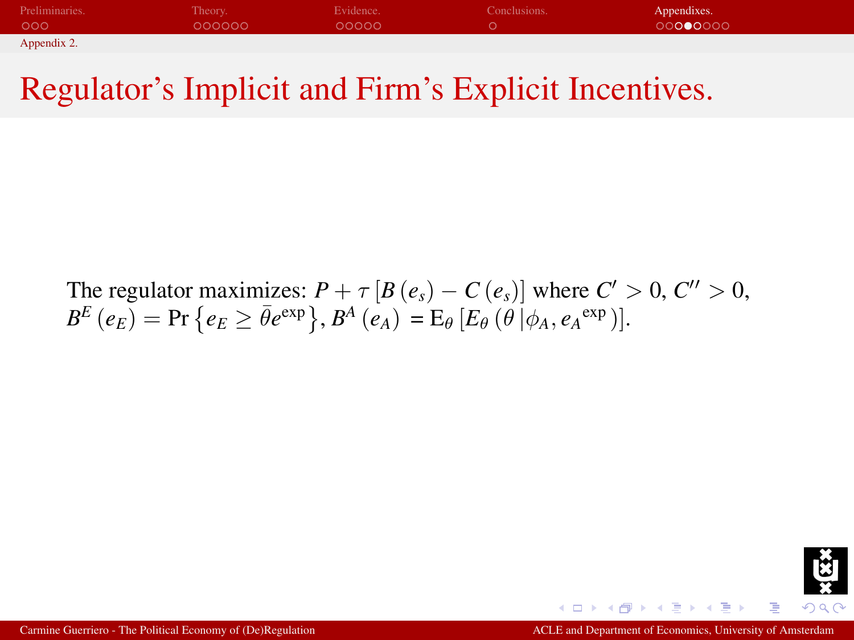| Preliminaries. | Theory. | Evidence. | Conclusions. | Appendixes. |
|----------------|---------|-----------|--------------|-------------|
| 000            | 000000  | 00000     |              | 00000000    |
| Appendix 2.    |         |           |              |             |

## Regulator's Implicit and Firm's Explicit Incentives.

The regulator maximizes:  $P + \tau [B(e_s) - C(e_s)]$  where  $C' > 0, C'' > 0$ ,  $B^E\left(e_E\right) = \Pr\big\{e_E \geq \bar{\theta}e^{\exp}\big\}, B^A\left(e_A\right) = \mathrm{E}_\theta\left[E_\theta\left(\theta\left|\phi_A, e_A^{-\exp}\right.\right)\right].$ 

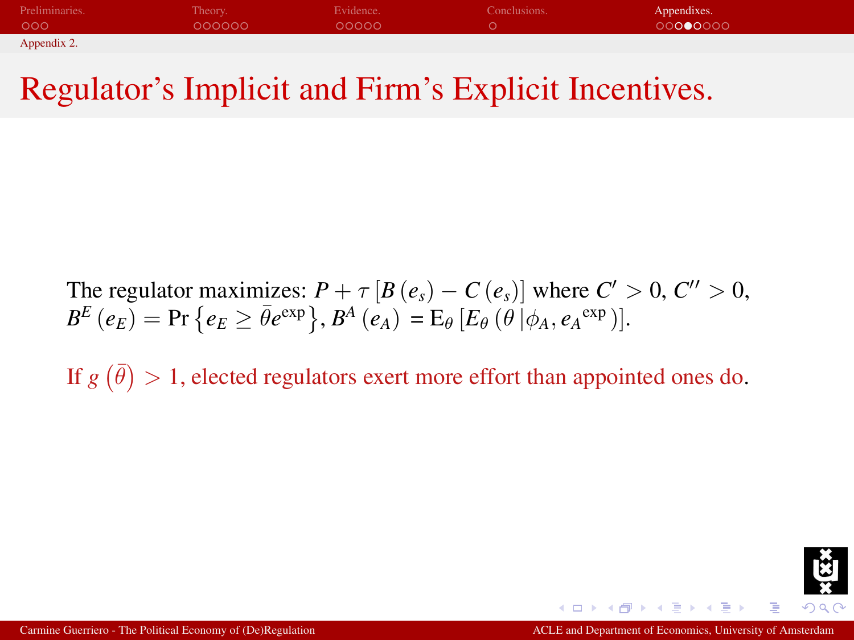| Preliminaries. | Theory. | Evidence. | Conclusions. | Appendixes. |
|----------------|---------|-----------|--------------|-------------|
| 000            | 000000  | 00000     |              | 00000000    |
| Appendix 2.    |         |           |              |             |

## Regulator's Implicit and Firm's Explicit Incentives.

The regulator maximizes:  $P + \tau [B(e_s) - C(e_s)]$  where  $C' > 0, C'' > 0$ ,  $B^E\left(e_E\right) = \Pr\big\{e_E \geq \bar{\theta}e^{\exp}\big\}, B^A\left(e_A\right) = \mathrm{E}_\theta\left[E_\theta\left(\theta\left|\phi_A, e_A^{-\exp}\right.\right)\right].$ 

If  $g(\bar{\theta}) > 1$ , elected regulators exert more effort than appointed ones do.

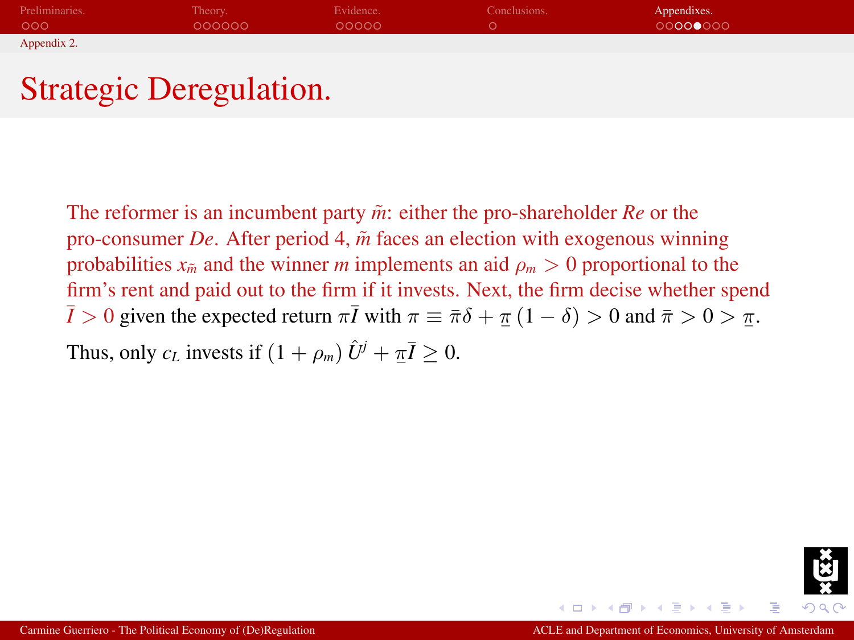| Preliminaries.   | Theory. | Evidence. | Conclusions. | Appendixes. |
|------------------|---------|-----------|--------------|-------------|
| 000 <sub>o</sub> | 000000  | 00000     |              | 00000000    |
| Appendix 2.      |         |           |              |             |

## Strategic Deregulation.

The reformer is an incumbent party  $\tilde{m}$ : either the pro-shareholder *Re* or the pro-consumer *De*. After period 4,  $\tilde{m}$  faces an election with exogenous winning probabilities  $x_{\tilde{m}}$  and the winner *m* implements an aid  $\rho_m > 0$  proportional to the firm's rent and paid out to the firm if it invests. Next, the firm decise whether spend  $\overline{I} > 0$  given the expected return  $\pi \overline{I}$  with  $\pi \equiv \overline{\pi} \delta + \underline{\pi} (1 - \delta) > 0$  and  $\overline{\pi} > 0 > \underline{\pi}$ .

Thus, only  $c_L$  invests if  $(1 + \rho_m) \hat{U}^j + \pi \overline{I} \geq 0$ .

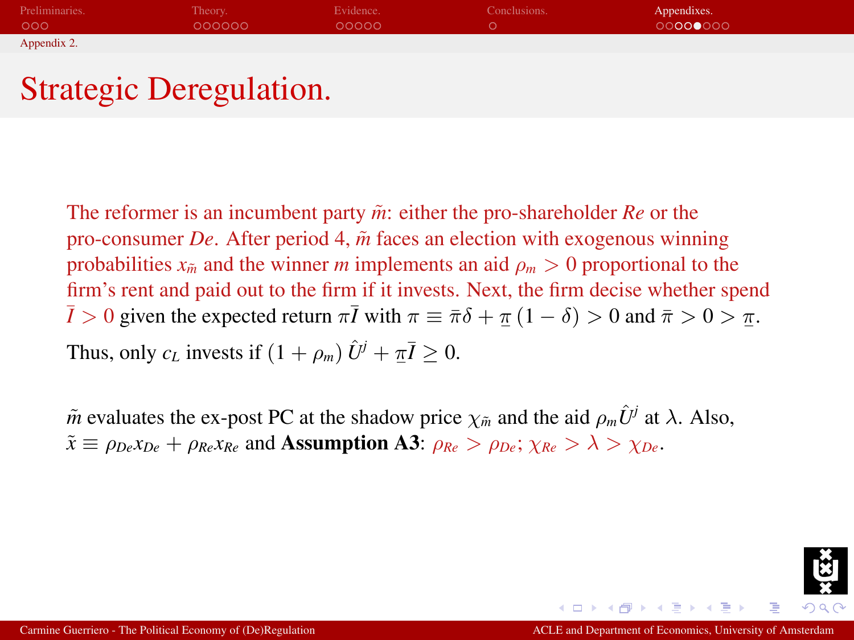| Preliminaries. | Theory. | Evidence. | Conclusions. | Appendixes. |
|----------------|---------|-----------|--------------|-------------|
| 000            | 000000  | 00000     |              | 00000000    |
| Appendix 2.    |         |           |              |             |

## Strategic Deregulation.

The reformer is an incumbent party  $\tilde{m}$ : either the pro-shareholder *Re* or the pro-consumer *De*. After period 4,  $\tilde{m}$  faces an election with exogenous winning probabilities  $x_{\tilde{m}}$  and the winner *m* implements an aid  $\rho_m > 0$  proportional to the firm's rent and paid out to the firm if it invests. Next, the firm decise whether spend  $\overline{I} > 0$  given the expected return  $\pi \overline{I}$  with  $\pi \equiv \overline{\pi} \delta + \underline{\pi} (1 - \delta) > 0$  and  $\overline{\pi} > 0 > \underline{\pi}$ . Thus, only  $c_L$  invests if  $(1 + \rho_m) \hat{U}^j + \pi \overline{I} \geq 0$ .

 $\tilde{m}$  evaluates the ex-post PC at the shadow price  $\chi_{\tilde{m}}$  and the aid  $\rho_m \hat{U}^j$  at  $\lambda$ . Also,  $\tilde{x} \equiv \rho_{De} x_{De} + \rho_{Re} x_{Re}$  and **Assumption A3**:  $\rho_{Re} > \rho_{De}$ ;  $\chi_{Re} > \lambda > \chi_{De}$ .

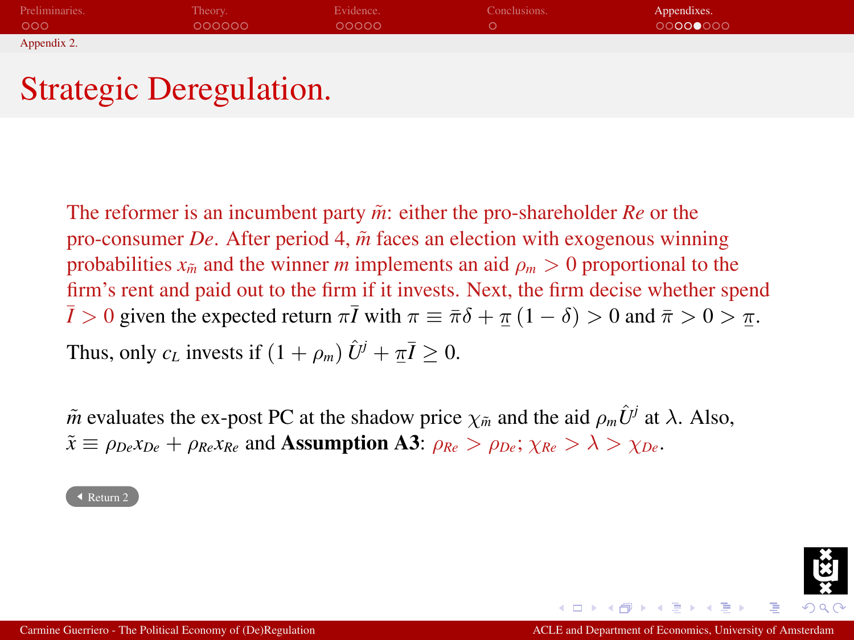| Preliminaries. | Theory. | Evidence. | Conclusions. | Appendixes. |
|----------------|---------|-----------|--------------|-------------|
| 000            | 000000  | 00000     |              | 00000000    |
| Appendix 2.    |         |           |              |             |

## Strategic Deregulation.

The reformer is an incumbent party  $\tilde{m}$ : either the pro-shareholder *Re* or the pro-consumer *De*. After period 4,  $\tilde{m}$  faces an election with exogenous winning probabilities  $x_{\tilde{m}}$  and the winner *m* implements an aid  $\rho_m > 0$  proportional to the firm's rent and paid out to the firm if it invests. Next, the firm decise whether spend  $\overline{I} > 0$  given the expected return  $\pi \overline{I}$  with  $\pi \equiv \overline{\pi} \delta + \underline{\pi} (1 - \delta) > 0$  and  $\overline{\pi} > 0 > \underline{\pi}$ . Thus, only  $c_L$  invests if  $(1 + \rho_m) \hat{U}^j + \pi \overline{I} \geq 0$ .

 $\tilde{m}$  evaluates the ex-post PC at the shadow price  $\chi_{\tilde{m}}$  and the aid  $\rho_m \hat{U}^j$  at  $\lambda$ . Also,  $\tilde{x} \equiv \rho_{De} x_{De} + \rho_{Re} x_{Re}$  and **Assumption A3:**  $\rho_{Re} > \rho_{De}$ ;  $\chi_{Re} > \lambda > \chi_{De}$ .

[Return 2](#page-26-0)

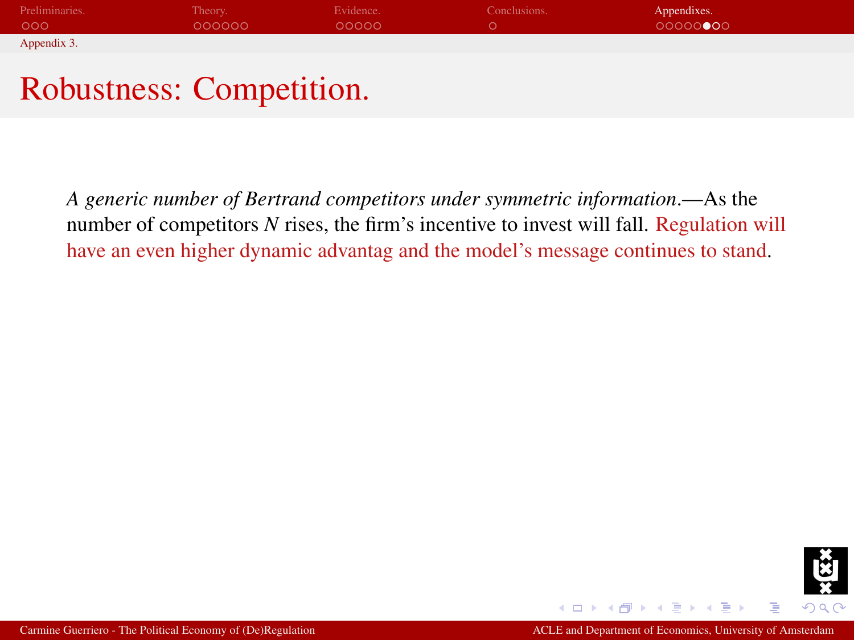| Preliminaries. | Theory. | Evidence. | Conclusions. | Appendixes. |
|----------------|---------|-----------|--------------|-------------|
| 000            | 000000  | 00000     |              | 00000000    |
| Appendix 3.    |         |           |              |             |

## Robustness: Competition.

<span id="page-51-0"></span>*A generic number of Bertrand competitors under symmetric information*.—As the number of competitors *N* rises, the firm's incentive to invest will fall. Regulation will have an even higher dynamic advantag and the model's message continues to stand.

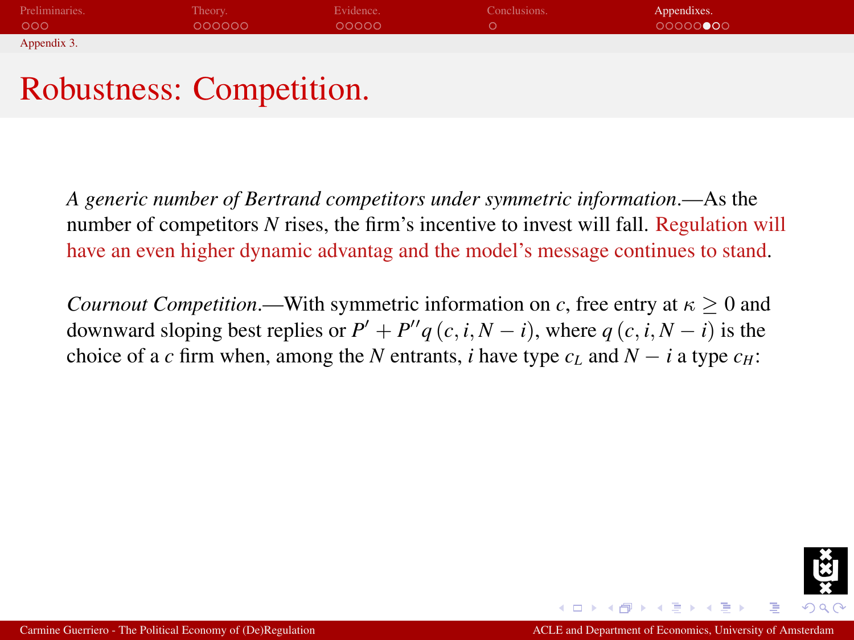| Preliminaries. | Theory. | Evidence. | Conclusions. | Appendixes. |
|----------------|---------|-----------|--------------|-------------|
| 000            | 000000  | ററററ      |              | 00000000    |
| Appendix 3.    |         |           |              |             |
|                |         |           |              |             |

## Robustness: Competition.

*A generic number of Bertrand competitors under symmetric information*.—As the number of competitors *N* rises, the firm's incentive to invest will fall. Regulation will have an even higher dynamic advantag and the model's message continues to stand.

*Cournout Competition*.—With symmetric information on *c*, free entry at  $\kappa > 0$  and downward sloping best replies or  $P' + P''q(c, i, N - i)$ , where  $q(c, i, N - i)$  is the choice of a *c* firm when, among the *N* entrants, *i* have type  $c<sub>L</sub>$  and  $N - i$  a type  $c<sub>H</sub>$ :

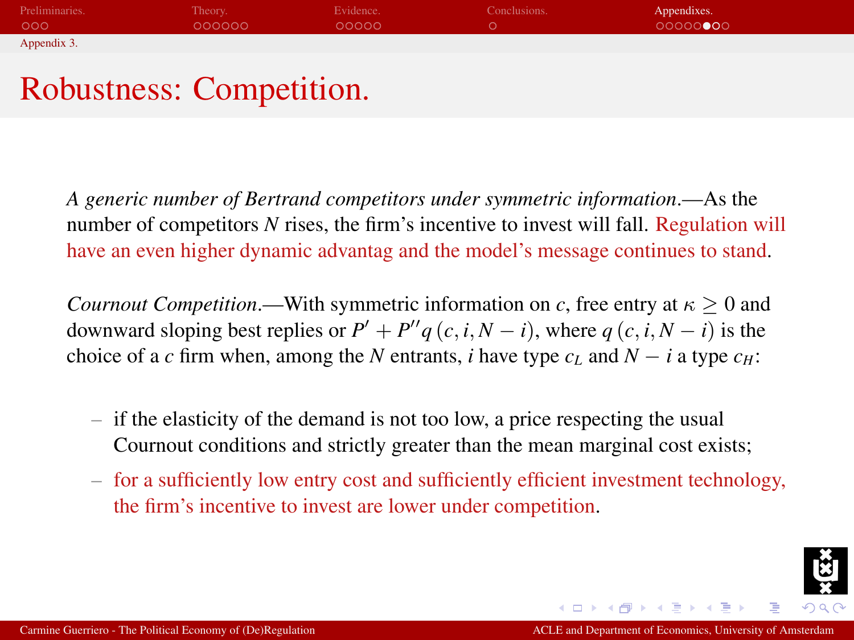| Preliminaries. | Theory. | Evidence. | Conclusions. | Appendixes. |
|----------------|---------|-----------|--------------|-------------|
| 000            | 000000  | ററററ      |              | 00000000    |
| Appendix 3.    |         |           |              |             |
|                |         |           |              |             |

## Robustness: Competition.

*A generic number of Bertrand competitors under symmetric information*.—As the number of competitors *N* rises, the firm's incentive to invest will fall. Regulation will have an even higher dynamic advantag and the model's message continues to stand.

*Cournout Competition*.—With symmetric information on *c*, free entry at  $\kappa > 0$  and downward sloping best replies or  $P' + P''q(c, i, N - i)$ , where  $q(c, i, N - i)$  is the choice of a *c* firm when, among the *N* entrants, *i* have type  $c<sub>L</sub>$  and  $N - i$  a type  $c<sub>H</sub>$ :

- if the elasticity of the demand is not too low, a price respecting the usual Cournout conditions and strictly greater than the mean marginal cost exists;
- for a sufficiently low entry cost and sufficiently efficient investment technology, the firm's incentive to invest are lower under competition.

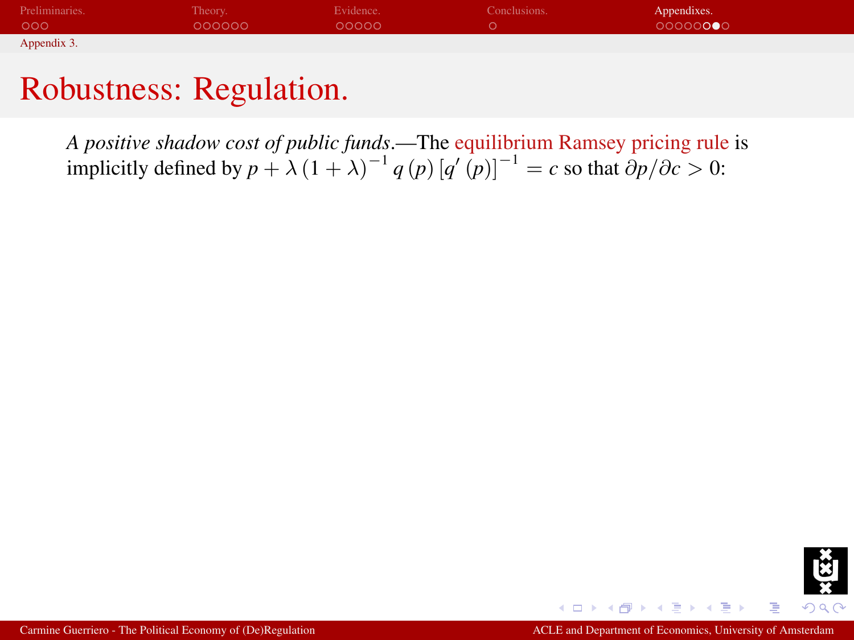| Preliminaries. | Theory. | Evidence. | Conclusions. | Appendixes. |
|----------------|---------|-----------|--------------|-------------|
| 000            | 000000  | 00000     |              | 00000000    |
| Appendix 3.    |         |           |              |             |

*A positive shadow cost of public funds*.—The equilibrium Ramsey pricing rule is implicitly defined by  $p + \lambda (1 + \lambda)^{-1} q(p) [q'(p)]^{-1} = c$  so that  $\partial p / \partial c > 0$ :

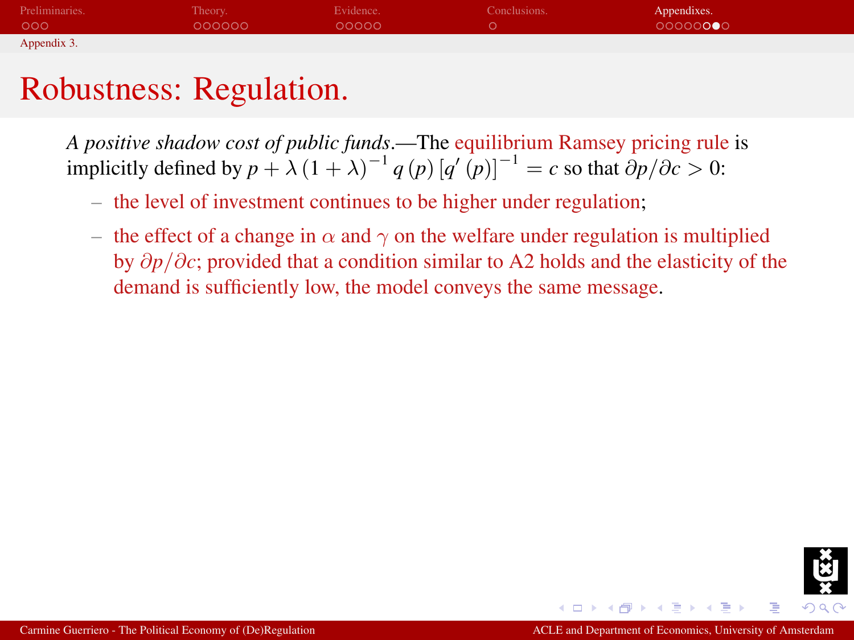| Preliminaries. | Theory. | Evidence. | Conclusions. | Appendixes. |
|----------------|---------|-----------|--------------|-------------|
| 000            | 000000  | 00000     |              | 00000000    |
| Appendix 3.    |         |           |              |             |

*A positive shadow cost of public funds*.—The equilibrium Ramsey pricing rule is implicitly defined by  $p + \lambda (1 + \lambda)^{-1} q(p) [q'(p)]^{-1} = c$  so that  $\partial p / \partial c > 0$ :

- the level of investment continues to be higher under regulation;
- the effect of a change in  $\alpha$  and  $\gamma$  on the welfare under regulation is multiplied by ∂*p*/∂*c*; provided that a condition similar to A2 holds and the elasticity of the demand is sufficiently low, the model conveys the same message.

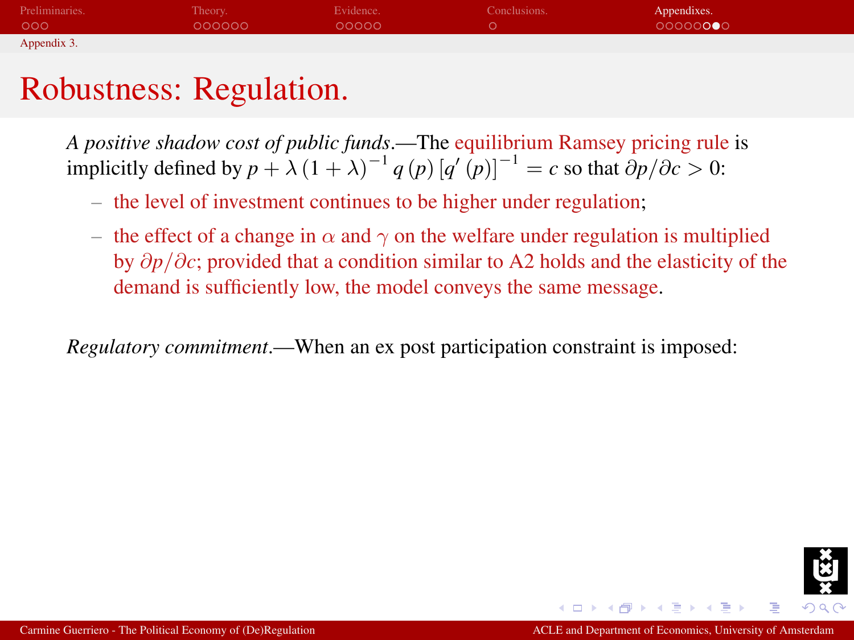| Preliminaries. | Theory. | Evidence. | Conclusions. | Appendixes. |
|----------------|---------|-----------|--------------|-------------|
| 000            | 000000  | 00000     |              | 00000000    |
| Appendix 3.    |         |           |              |             |

*A positive shadow cost of public funds*.—The equilibrium Ramsey pricing rule is implicitly defined by  $p + \lambda (1 + \lambda)^{-1} q(p) [q'(p)]^{-1} = c$  so that  $\partial p / \partial c > 0$ :

- the level of investment continues to be higher under regulation;
- the effect of a change in  $\alpha$  and  $\gamma$  on the welfare under regulation is multiplied by ∂*p*/∂*c*; provided that a condition similar to A2 holds and the elasticity of the demand is sufficiently low, the model conveys the same message.

*Regulatory commitment*.—When an ex post participation constraint is imposed:

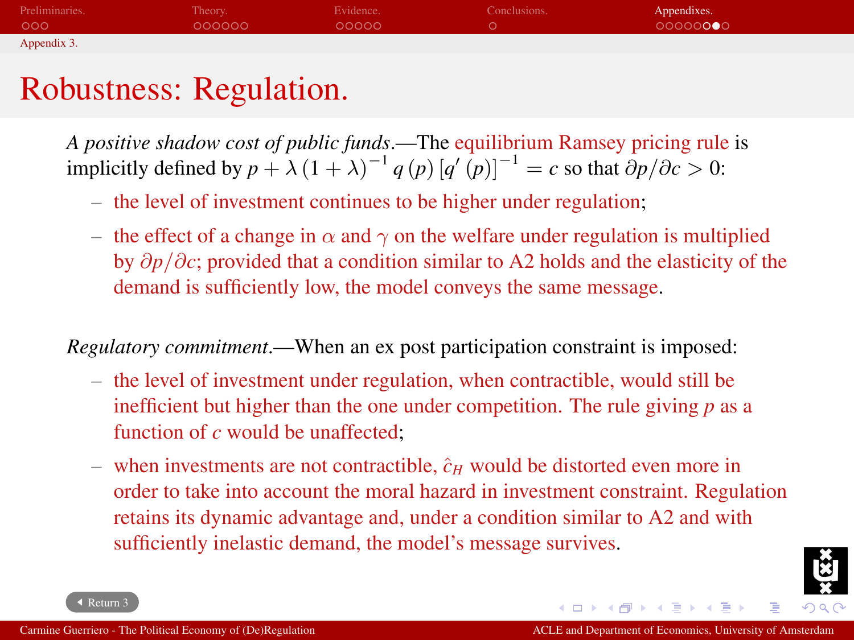| Preliminaries. | Theory. | Evidence. | Conclusions. | Appendixes. |
|----------------|---------|-----------|--------------|-------------|
| 000            | 000000  | 00000     |              | 00000000    |
| Appendix 3.    |         |           |              |             |

*A positive shadow cost of public funds*.—The equilibrium Ramsey pricing rule is implicitly defined by  $p + \lambda (1 + \lambda)^{-1} q(p) [q'(p)]^{-1} = c$  so that  $\partial p / \partial c > 0$ :

- the level of investment continues to be higher under regulation;
- the effect of a change in  $\alpha$  and  $\gamma$  on the welfare under regulation is multiplied by ∂*p*/∂*c*; provided that a condition similar to A2 holds and the elasticity of the demand is sufficiently low, the model conveys the same message.

*Regulatory commitment*.—When an ex post participation constraint is imposed:

- the level of investment under regulation, when contractible, would still be inefficient but higher than the one under competition. The rule giving *p* as a function of *c* would be unaffected;
- when investments are not contractible,  $\hat{c}_H$  would be distorted even more in order to take into account the moral hazard in investment constraint. Regulation retains its dynamic advantage and, under a condition similar to A2 and with sufficiently inelastic demand, the model's message survives.



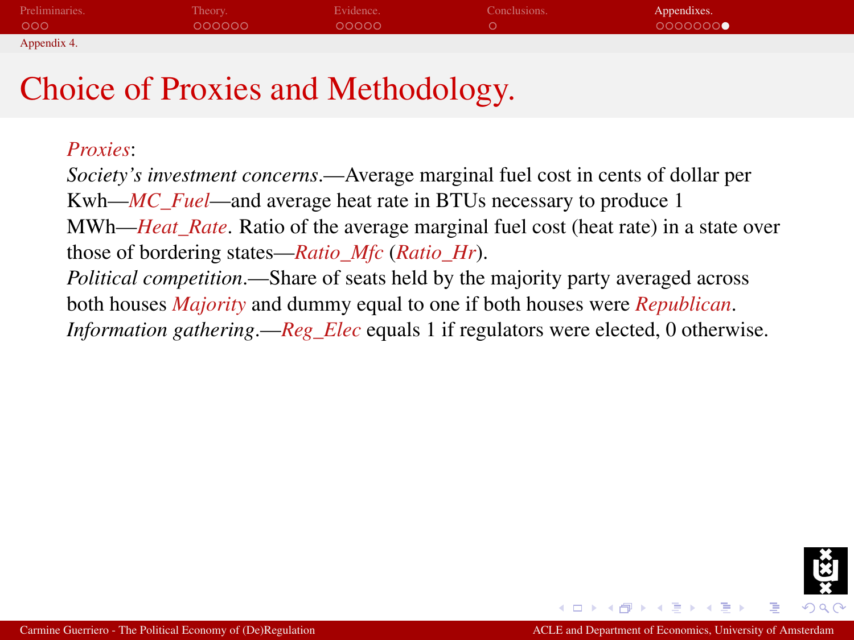| Preliminaries. | Theory. | Evidence. | Conclusions. | Appendixes. |
|----------------|---------|-----------|--------------|-------------|
| 000            | 000000  | 00000     |              | 0000000     |
| Appendix 4.    |         |           |              |             |

## Choice of Proxies and Methodology.

#### <span id="page-58-0"></span>*Proxies*:

*Society's investment concerns*.—Average marginal fuel cost in cents of dollar per Kwh—*MC\_Fuel*—and average heat rate in BTUs necessary to produce 1 MWh—*Heat Rate*. Ratio of the average marginal fuel cost (heat rate) in a state over those of bordering states—*Ratio\_Mfc* (*Ratio\_Hr*). *Political competition*.—Share of seats held by the majority party averaged across both houses *Majority* and dummy equal to one if both houses were *Republican*. *Information gathering*.—*Reg\_Elec* equals 1 if regulators were elected, 0 otherwise.